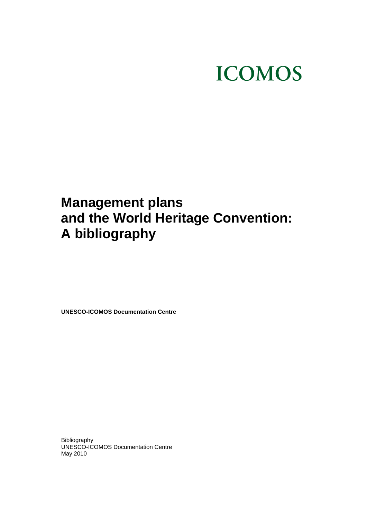# **ICOMOS**

# **Management plans and the World Heritage Convention: A bibliography**

**UNESCO-ICOMOS Documentation Centre** 

Bibliography UNESCO-ICOMOS Documentation Centre May 2010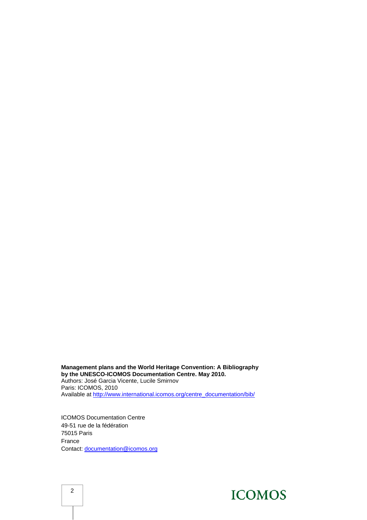**Management plans and the World Heritage Convention: A Bibliography by the UNESCO-ICOMOS Documentation Centre. May 2010.**  Authors: José Garcia Vicente, Lucile Smirnov Paris: ICOMOS, 2010 Available at [http://www.international.icomos.org/centre\\_documentation/bib/](http://www.international.icomos.org/centre_documentation/bib/)

ICOMOS Documentation Centre 49-51 rue de la fédération 75015 Paris France Contact: [documentation@icomos.org](mailto:documentation@icomos.org)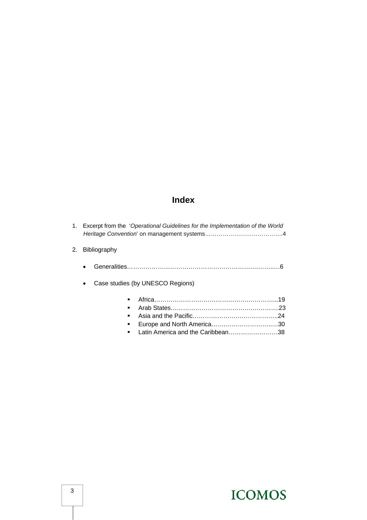#### **Index**

|    |                                               | 1. Excerpt from the 'Operational Guidelines for the Implementation of the World |  |
|----|-----------------------------------------------|---------------------------------------------------------------------------------|--|
| 2. | <b>Bibliography</b>                           |                                                                                 |  |
|    |                                               |                                                                                 |  |
|    | Case studies (by UNESCO Regions)<br>$\bullet$ |                                                                                 |  |
|    |                                               |                                                                                 |  |
|    |                                               |                                                                                 |  |
|    |                                               |                                                                                 |  |
|    | ٠                                             |                                                                                 |  |
|    |                                               | Latin America and the Caribbean38                                               |  |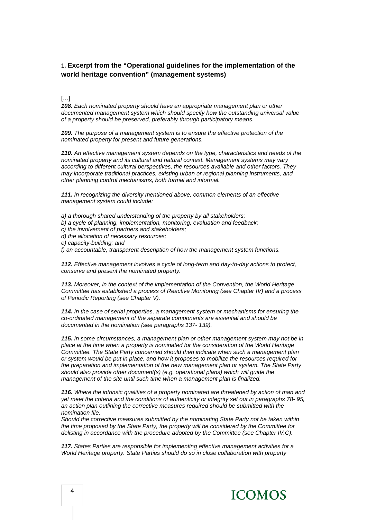#### **1. Excerpt from the "Operational guidelines for the implementation of the world heritage convention" (management systems)**

#### […]

*108. Each nominated property should have an appropriate management plan or other documented management system which should specify how the outstanding universal value of a property should be preserved, preferably through participatory means.* 

*109. The purpose of a management system is to ensure the effective protection of the nominated property for present and future generations.* 

*110. An effective management system depends on the type, characteristics and needs of the nominated property and its cultural and natural context. Management systems may vary according to different cultural perspectives, the resources available and other factors. They may incorporate traditional practices, existing urban or regional planning instruments, and other planning control mechanisms, both formal and informal.* 

*111. In recognizing the diversity mentioned above, common elements of an effective management system could include:* 

*a) a thorough shared understanding of the property by all stakeholders;* 

- *b) a cycle of planning, implementation, monitoring, evaluation and feedback;*
- *c) the involvement of partners and stakeholders;*
- *d) the allocation of necessary resources;*
- *e) capacity-building; and*

*f) an accountable, transparent description of how the management system functions.* 

*112. Effective management involves a cycle of long-term and day-to-day actions to protect, conserve and present the nominated property.* 

*113. Moreover, in the context of the implementation of the Convention, the World Heritage Committee has established a process of Reactive Monitoring (see Chapter IV) and a process of Periodic Reporting (see Chapter V).* 

*114. In the case of serial properties, a management system or mechanisms for ensuring the co-ordinated management of the separate components are essential and should be documented in the nomination (see paragraphs 137- 139).* 

*115. In some circumstances, a management plan or other management system may not be in place at the time when a property is nominated for the consideration of the World Heritage Committee. The State Party concerned should then indicate when such a management plan or system would be put in place, and how it proposes to mobilize the resources required for the preparation and implementation of the new management plan or system. The State Party should also provide other document(s) (e.g. operational plans) which will guide the management of the site until such time when a management plan is finalized.* 

*116. Where the intrinsic qualities of a property nominated are threatened by action of man and yet meet the criteria and the conditions of authenticity or integrity set out in paragraphs 78- 95, an action plan outlining the corrective measures required should be submitted with the nomination file.* 

*Should the corrective measures submitted by the nominating State Party not be taken within the time proposed by the State Party, the property will be considered by the Committee for delisting in accordance with the procedure adopted by the Committee (see Chapter IV.C).* 

*117. States Parties are responsible for implementing effective management activities for a World Heritage property. State Parties should do so in close collaboration with property*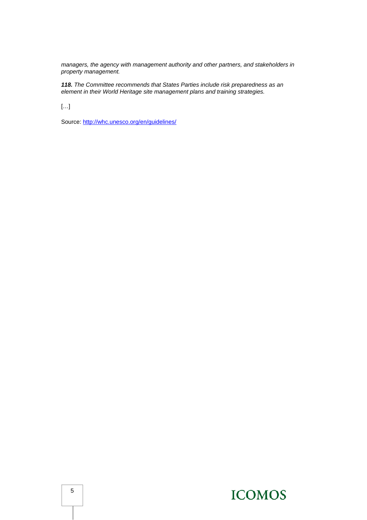*managers, the agency with management authority and other partners, and stakeholders in property management.* 

*118. The Committee recommends that States Parties include risk preparedness as an element in their World Heritage site management plans and training strategies.* 

[…]

Source: <http://whc.unesco.org/en/guidelines/>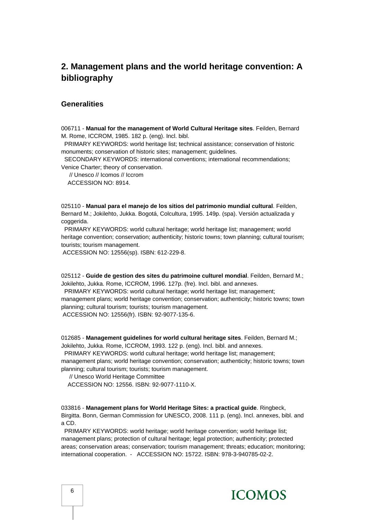#### **2. Management plans and the world heritage convention: A bibliography**

#### **Generalities**

006711 - **Manual for the management of World Cultural Heritage sites**. Feilden, Bernard M. Rome, ICCROM, 1985. 182 p. (eng). Incl. bibl.

 PRIMARY KEYWORDS: world heritage list; technical assistance; conservation of historic monuments; conservation of historic sites; management; guidelines.

 SECONDARY KEYWORDS: international conventions; international recommendations; Venice Charter; theory of conservation.

 // Unesco // Icomos // Iccrom ACCESSION NO: 8914.

025110 - **Manual para el manejo de los sitios del patrimonio mundial cultural**. Feilden, Bernard M.; Jokilehto, Jukka. Bogotá, Colcultura, 1995. 149p. (spa). Versión actualizada y coggerida.

 PRIMARY KEYWORDS: world cultural heritage; world heritage list; management; world heritage convention; conservation; authenticity; historic towns; town planning; cultural tourism; tourists; tourism management.

ACCESSION NO: 12556(sp). ISBN: 612-229-8.

025112 - **Guide de gestion des sites du patrimoine culturel mondial**. Feilden, Bernard M.; Jokilehto, Jukka. Rome, ICCROM, 1996. 127p. (fre). Incl. bibl. and annexes.

 PRIMARY KEYWORDS: world cultural heritage; world heritage list; management; management plans; world heritage convention; conservation; authenticity; historic towns; town planning; cultural tourism; tourists; tourism management. ACCESSION NO: 12556(fr). ISBN: 92-9077-135-6.

012685 - **Management guidelines for world cultural heritage sites**. Feilden, Bernard M.; Jokilehto, Jukka. Rome, ICCROM, 1993. 122 p. (eng). Incl. bibl. and annexes.

 PRIMARY KEYWORDS: world cultural heritage; world heritage list; management; management plans; world heritage convention; conservation; authenticity; historic towns; town

planning; cultural tourism; tourists; tourism management.

// Unesco World Heritage Committee

ACCESSION NO: 12556. ISBN: 92-9077-1110-X.

033816 - **Management plans for World Heritage Sites: a practical guide**. Ringbeck, Birgitta. Bonn, German Commission for UNESCO, 2008. 111 p. (eng). Incl. annexes, bibl. and a CD.

 PRIMARY KEYWORDS: world heritage; world heritage convention; world heritage list; management plans; protection of cultural heritage; legal protection; authenticity; protected areas; conservation areas; conservation; tourism management; threats; education; monitoring; international cooperation. - ACCESSION NO: 15722. ISBN: 978-3-940785-02-2.

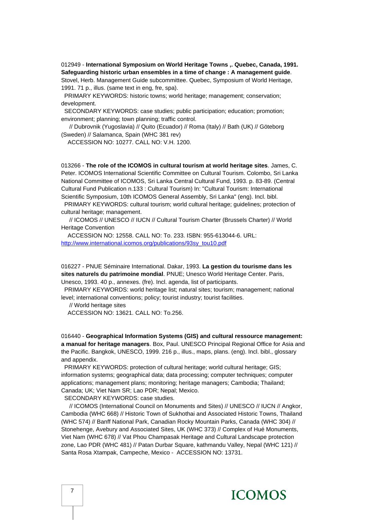012949 - **International Symposium on World Heritage Towns ,. Quebec, Canada, 1991. Safeguarding historic urban ensembles in a time of change : A management guide**.

Stovel, Herb. Management Guide subcommittee. Quebec, Symposium of World Heritage, 1991. 71 p., illus. (same text in eng, fre, spa).

 PRIMARY KEYWORDS: historic towns; world heritage; management; conservation; development.

 SECONDARY KEYWORDS: case studies; public participation; education; promotion; environment; planning; town planning; traffic control.

 // Dubrovnik (Yugoslavia) // Quito (Ecuador) // Roma (Italy) // Bath (UK) // Göteborg (Sweden) // Salamanca, Spain (WHC 381 rev)

ACCESSION NO: 10277. CALL NO: V.H. 1200.

013266 - **The role of the ICOMOS in cultural tourism at world heritage sites**. James, C. Peter. ICOMOS International Scientific Committee on Cultural Tourism. Colombo, Sri Lanka National Committee of ICOMOS, Sri Lanka Central Cultural Fund, 1993. p. 83-89. (Central Cultural Fund Publication n.133 : Cultural Tourism) In: "Cultural Tourism: International Scientific Symposium, 10th ICOMOS General Assembly, Sri Lanka" (eng). Incl. bibl.

 PRIMARY KEYWORDS: cultural tourism; world cultural heritage; guidelines; protection of cultural heritage; management.

 // ICOMOS // UNESCO // IUCN // Cultural Tourism Charter (Brussels Charter) // World Heritage Convention

 ACCESSION NO: 12558. CALL NO: To. 233. ISBN: 955-613044-6. URL: [http://www.international.icomos.org/publications/93sy\\_tou10.pdf](http://www.international.icomos.org/publications/93sy_tou10.pdf)

016227 - PNUE Séminaire International. Dakar, 1993. **La gestion du tourisme dans les sites naturels du patrimoine mondial**. PNUE; Unesco World Heritage Center. Paris, Unesco, 1993. 40 p., annexes. (fre). Incl. agenda, list of participants.

 PRIMARY KEYWORDS: world heritage list; natural sites; tourism; management; national level; international conventions; policy; tourist industry; tourist facilities.

// World heritage sites

ACCESSION NO: 13621. CALL NO: To.256.

016440 - **Geographical Information Systems (GIS) and cultural ressource management: a manual for heritage managers**. Box, Paul. UNESCO Principal Regional Office for Asia and the Pacific. Bangkok, UNESCO, 1999. 216 p., illus., maps, plans. (eng). Incl. bibl., glossary and appendix.

 PRIMARY KEYWORDS: protection of cultural heritage; world cultural heritage; GIS; information systems; geographical data; data processing; computer techniques; computer applications; management plans; monitoring; heritage managers; Cambodia; Thailand; Canada; UK; Viet Nam SR; Lao PDR; Nepal; Mexico.

SECONDARY KEYWORDS: case studies.

 // ICOMOS (International Council on Monuments and Sites) // UNESCO // IUCN // Angkor, Cambodia (WHC 668) // Historic Town of Sukhothai and Associated Historic Towns, Thailand (WHC 574) // Banff National Park, Canadian Rocky Mountain Parks, Canada (WHC 304) // Stonehenge, Avebury and Associated Sites, UK (WHC 373) // Complex of Hué Monuments, Viet Nam (WHC 678) // Vat Phou Champasak Heritage and Cultural Landscape protection zone, Lao PDR (WHC 481) // Patan Durbar Square, kathmandu Valley, Nepal (WHC 121) // Santa Rosa Xtampak, Campeche, Mexico - ACCESSION NO: 13731.

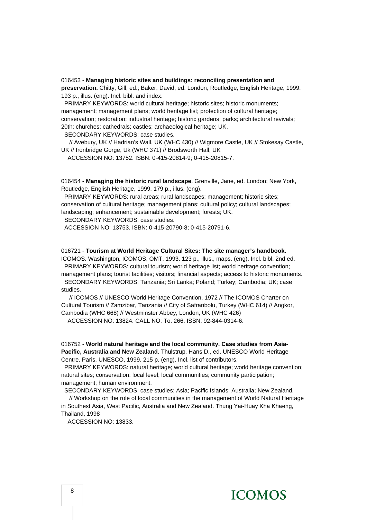016453 - **Managing historic sites and buildings: reconciling presentation and preservation.** Chitty, Gill, ed.; Baker, David, ed. London, Routledge, English Heritage, 1999. 193 p., illus. (eng). Incl. bibl. and index.

PRIMARY KEYWORDS: world cultural heritage; historic sites; historic monuments; management; management plans; world heritage list; protection of cultural heritage; conservation; restoration; industrial heritage; historic gardens; parks; architectural revivals; 20th; churches; cathedrals; castles; archaeological heritage; UK.

SECONDARY KEYWORDS: case studies.

 // Avebury, UK // Hadrian's Wall, UK (WHC 430) // Wigmore Castle, UK // Stokesay Castle, UK // Ironbridge Gorge, Uk (WHC 371) // Brodsworth Hall, UK

ACCESSION NO: 13752. ISBN: 0-415-20814-9; 0-415-20815-7.

016454 - **Managing the historic rural landscape**. Grenville, Jane, ed. London; New York, Routledge, English Heritage, 1999. 179 p., illus. (eng).

 PRIMARY KEYWORDS: rural areas; rural landscapes; management; historic sites; conservation of cultural heritage; management plans; cultural policy; cultural landscapes; landscaping; enhancement; sustainable development; forests; UK.

SECONDARY KEYWORDS: case studies.

ACCESSION NO: 13753. ISBN: 0-415-20790-8; 0-415-20791-6.

#### 016721 - **Tourism at World Heritage Cultural Sites: The site manager's handbook**.

ICOMOS. Washington, ICOMOS, OMT, 1993. 123 p., illus., maps. (eng). Incl. bibl. 2nd ed. PRIMARY KEYWORDS: cultural tourism; world heritage list; world heritage convention; management plans; tourist facilities; visitors; financial aspects; access to historic monuments. SECONDARY KEYWORDS: Tanzania; Sri Lanka; Poland; Turkey; Cambodia; UK; case

studies.

 // ICOMOS // UNESCO World Heritage Convention, 1972 // The ICOMOS Charter on Cultural Tourism // Zamzibar, Tanzania // City of Safranbolu, Turkey (WHC 614) // Angkor, Cambodia (WHC 668) // Westminster Abbey, London, UK (WHC 426)

ACCESSION NO: 13824. CALL NO: To. 266. ISBN: 92-844-0314-6.

016752 - **World natural heritage and the local community. Case studies from Asia-Pacific, Australia and New Zealand**. Thulstrup, Hans D., ed. UNESCO World Heritage Centre. Paris, UNESCO, 1999. 215 p. (eng). Incl. list of contributors.

 PRIMARY KEYWORDS: natural heritage; world cultural heritage; world heritage convention; natural sites; conservation; local level; local communities; community participation; management; human environment.

SECONDARY KEYWORDS: case studies; Asia; Pacific Islands; Australia; New Zealand.

 // Workshop on the role of local communities in the management of World Natural Heritage in Southest Asia, West Pacific, Australia and New Zealand. Thung Yai-Huay Kha Khaeng, Thailand, 1998

ACCESSION NO: 13833.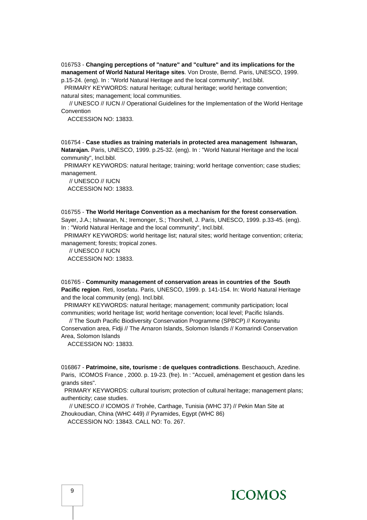016753 - **Changing perceptions of "nature" and "culture" and its implications for the management of World Natural Heritage sites**. Von Droste, Bernd. Paris, UNESCO, 1999. p.15-24. (eng). In : "World Natural Heritage and the local community", Incl.bibl.

 PRIMARY KEYWORDS: natural heritage; cultural heritage; world heritage convention; natural sites; management; local communities.

 // UNESCO // IUCN // Operational Guidelines for the Implementation of the World Heritage Convention

ACCESSION NO: 13833.

016754 - **Case studies as training materials in protected area management Ishwaran, Natarajan.** Paris, UNESCO, 1999. p.25-32. (eng). In : "World Natural Heritage and the local community", Incl.bibl.

 PRIMARY KEYWORDS: natural heritage; training; world heritage convention; case studies; management.

 // UNESCO // IUCN ACCESSION NO: 13833.

016755 - **The World Heritage Convention as a mechanism for the forest conservation**. Sayer, J.A.; Ishwaran, N.; Iremonger, S.; Thorshell, J. Paris, UNESCO, 1999. p.33-45. (eng). In : "World Natural Heritage and the local community", Incl.bibl.

 PRIMARY KEYWORDS: world heritage list; natural sites; world heritage convention; criteria; management; forests; tropical zones.

 // UNESCO // IUCN ACCESSION NO: 13833.

016765 - **Community management of conservation areas in countries of the South Pacific region**. Reti, Iosefatu. Paris, UNESCO, 1999. p. 141-154. In: World Natural Heritage and the local community (eng). Incl.bibl.

 PRIMARY KEYWORDS: natural heritage; management; community participation; local communities; world heritage list; world heritage convention; local level; Pacific Islands.

 // The South Pacific Biodiversity Conservation Programme (SPBCP) // Koroyanitu Conservation area, Fidji // The Arnaron Islands, Solomon Islands // Komarindi Conservation Area, Solomon Islands

ACCESSION NO: 13833.

016867 - **Patrimoine, site, tourisme : de quelques contradictions**. Beschaouch, Azedine. Paris, ICOMOS France , 2000. p. 19-23. (fre). In : "Accueil, aménagement et gestion dans les grands sites".

 PRIMARY KEYWORDS: cultural tourism; protection of cultural heritage; management plans; authenticity; case studies.

 // UNESCO // ICOMOS // Trohée, Carthage, Tunisia (WHC 37) // Pekin Man Site at Zhoukoudian, China (WHC 449) // Pyramides, Egypt (WHC 86)

ACCESSION NO: 13843. CALL NO: To. 267.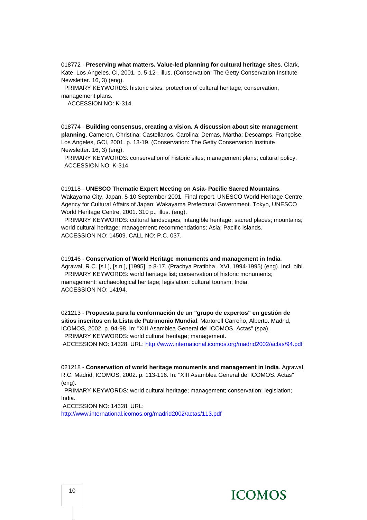018772 - **Preserving what matters. Value-led planning for cultural heritage sites**. Clark, Kate. Los Angeles. CI, 2001. p. 5-12 , illus. (Conservation: The Getty Conservation Institute Newsletter. 16, 3) (eng).

 PRIMARY KEYWORDS: historic sites; protection of cultural heritage; conservation; management plans.

ACCESSION NO: K-314.

018774 - **Building consensus, creating a vision. A discussion about site management planning**. Cameron, Christina; Castellanos, Carolina; Demas, Martha; Descamps, Françoise. Los Angeles, GCI, 2001. p. 13-19. (Conservation: The Getty Conservation Institute Newsletter. 16, 3) (eng).

 PRIMARY KEYWORDS: conservation of historic sites; management plans; cultural policy. ACCESSION NO: K-314

#### 019118 - **UNESCO Thematic Expert Meeting on Asia- Pacific Sacred Mountains**.

Wakayama City, Japan, 5-10 September 2001. Final report. UNESCO World Heritage Centre; Agency for Cultural Affairs of Japan; Wakayama Prefectural Government. Tokyo, UNESCO World Heritage Centre, 2001. 310 p., illus. (eng).

 PRIMARY KEYWORDS: cultural landscapes; intangible heritage; sacred places; mountains; world cultural heritage; management; recommendations; Asia; Pacific Islands. ACCESSION NO: 14509. CALL NO: P.C. 037.

#### 019146 - **Conservation of World Heritage monuments and management in India**.

Agrawal, R.C. [s.l.], [s.n.], [1995]. p.8-17. (Prachya Pratibha . XVI, 1994-1995) (eng). Incl. bibl. PRIMARY KEYWORDS: world heritage list; conservation of historic monuments; management; archaeological heritage; legislation; cultural tourism; India. ACCESSION NO: 14194.

021213 - **Propuesta para la conformación de un "grupo de expertos" en gestión de sitios inscritos en la Lista de Patrimonio Mundial**. Martorell Carreño, Alberto. Madrid, ICOMOS, 2002. p. 94-98. In: "XIII Asamblea General del ICOMOS. Actas" (spa). PRIMARY KEYWORDS: world cultural heritage; management. ACCESSION NO: 14328. URL: <http://www.international.icomos.org/madrid2002/actas/94.pdf>

021218 - **Conservation of world heritage monuments and management in India**. Agrawal, R.C. Madrid, ICOMOS, 2002. p. 113-116. In: "XIII Asamblea General del ICOMOS. Actas" (eng).

 PRIMARY KEYWORDS: world cultural heritage; management; conservation; legislation; India.

ACCESSION NO: 14328. URL:

<http://www.international.icomos.org/madrid2002/actas/113.pdf>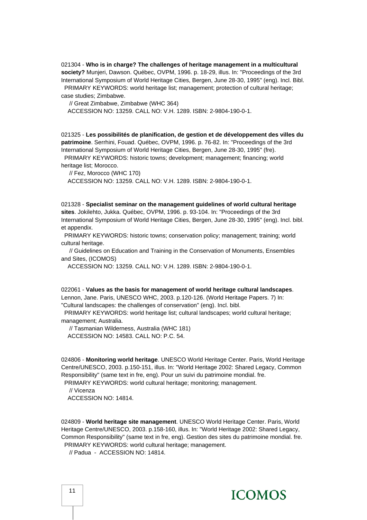021304 - **Who is in charge? The challenges of heritage management in a multicultural society?** Munjeri, Dawson. Québec, OVPM, 1996. p. 18-29, illus. In: "Proceedings of the 3rd International Symposium of World Heritage Cities, Bergen, June 28-30, 1995" (eng). Incl. Bibl. PRIMARY KEYWORDS: world heritage list; management; protection of cultural heritage; case studies; Zimbabwe.

// Great Zimbabwe, Zimbabwe (WHC 364)

ACCESSION NO: 13259. CALL NO: V.H. 1289. ISBN: 2-9804-190-0-1.

021325 - **Les possibilités de planification, de gestion et de développement des villes du patrimoine**. Serrhini, Fouad. Québec, OVPM, 1996. p. 76-82. In: "Proceedings of the 3rd International Symposium of World Heritage Cities, Bergen, June 28-30, 1995" (fre). PRIMARY KEYWORDS: historic towns; development; management; financing; world

heritage list; Morocco.

// Fez, Morocco (WHC 170)

ACCESSION NO: 13259. CALL NO: V.H. 1289. ISBN: 2-9804-190-0-1.

021328 - **Specialist seminar on the management guidelines of world cultural heritage sites**. Jokilehto, Jukka. Québec, OVPM, 1996. p. 93-104. In: "Proceedings of the 3rd International Symposium of World Heritage Cities, Bergen, June 28-30, 1995" (eng). Incl. bibl. et appendix.

 PRIMARY KEYWORDS: historic towns; conservation policy; management; training; world cultural heritage.

 // Guidelines on Education and Training in the Conservation of Monuments, Ensembles and Sites, (ICOMOS)

ACCESSION NO: 13259. CALL NO: V.H. 1289. ISBN: 2-9804-190-0-1.

022061 - **Values as the basis for management of world heritage cultural landscapes**. Lennon, Jane. Paris, UNESCO WHC, 2003. p.120-126. (World Heritage Papers. 7) In: "Cultural landscapes: the challenges of conservation" (eng). Incl. bibl.

 PRIMARY KEYWORDS: world heritage list; cultural landscapes; world cultural heritage; management; Australia.

 // Tasmanian Wilderness, Australia (WHC 181) ACCESSION NO: 14583. CALL NO: P.C. 54.

024806 - **Monitoring world heritage**. UNESCO World Heritage Center. Paris, World Heritage Centre/UNESCO, 2003. p.150-151, illus. In: "World Heritage 2002: Shared Legacy, Common Responsibility" (same text in fre, eng). Pour un suivi du patrimoine mondial. fre. PRIMARY KEYWORDS: world cultural heritage; monitoring; management.

 // Vicenza ACCESSION NO: 14814.

024809 - **World heritage site management**. UNESCO World Heritage Center. Paris, World Heritage Centre/UNESCO, 2003. p.158-160, illus. In: "World Heritage 2002: Shared Legacy, Common Responsibility" (same text in fre, eng). Gestion des sites du patrimoine mondial. fre. PRIMARY KEYWORDS: world cultural heritage; management.

// Padua - ACCESSION NO: 14814.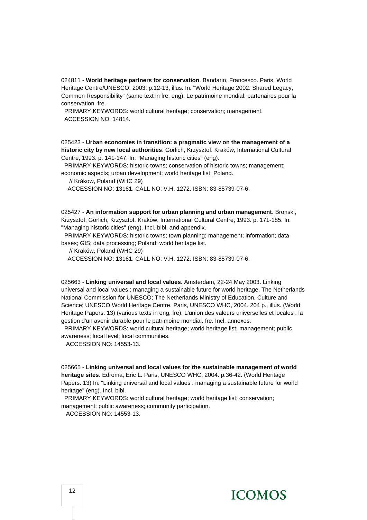024811 - **World heritage partners for conservation**. Bandarin, Francesco. Paris, World Heritage Centre/UNESCO, 2003. p.12-13, illus. In: "World Heritage 2002: Shared Legacy, Common Responsibility" (same text in fre, eng). Le patrimoine mondial: partenaires pour la conservation. fre.

 PRIMARY KEYWORDS: world cultural heritage; conservation; management. ACCESSION NO: 14814.

025423 - **Urban economies in transition: a pragmatic view on the management of a historic city by new local authorities**. Görlich, Krzysztof. Kraków, International Cultural Centre, 1993. p. 141-147. In: "Managing historic cities" (eng).

 PRIMARY KEYWORDS: historic towns; conservation of historic towns; management; economic aspects; urban development; world heritage list; Poland.

// Krákow, Poland (WHC 29)

ACCESSION NO: 13161. CALL NO: V.H. 1272. ISBN: 83-85739-07-6.

025427 - **An information support for urban planning and urban management**. Bronski, Krzysztof; Görlich, Krzysztof. Kraków, International Cultural Centre, 1993. p. 171-185. In: "Managing historic cities" (eng). Incl. bibl. and appendix.

 PRIMARY KEYWORDS: historic towns; town planning; management; information; data bases; GIS; data processing; Poland; world heritage list.

// Kraków, Poland (WHC 29)

ACCESSION NO: 13161. CALL NO: V.H. 1272. ISBN: 83-85739-07-6.

025663 - **Linking universal and local values**. Amsterdam, 22-24 May 2003. Linking universal and local values : managing a sustainable future for world heritage. The Netherlands National Commission for UNESCO; The Netherlands Ministry of Education, Culture and Science; UNESCO World Heritage Centre. Paris, UNESCO WHC, 2004. 204 p., illus. (World Heritage Papers. 13) (various texts in eng, fre). L'union des valeurs universelles et locales : la gestion d'un avenir durable pour le patrimoine mondial. fre. Incl. annexes.

 PRIMARY KEYWORDS: world cultural heritage; world heritage list; management; public awareness; local level; local communities.

ACCESSION NO: 14553-13.

025665 - **Linking universal and local values for the sustainable management of world heritage sites**. Edroma, Eric L. Paris, UNESCO WHC, 2004. p.36-42. (World Heritage Papers. 13) In: "Linking universal and local values : managing a sustainable future for world heritage" (eng). Incl. bibl.

 PRIMARY KEYWORDS: world cultural heritage; world heritage list; conservation; management; public awareness; community participation.

ACCESSION NO: 14553-13.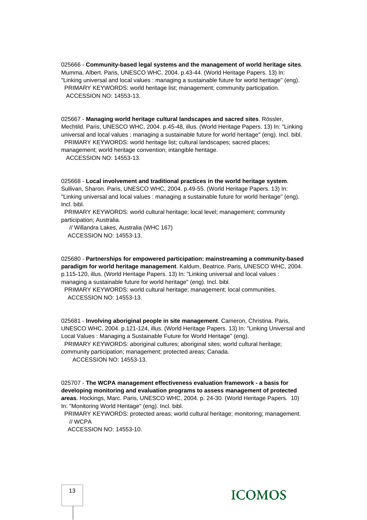025666 - **Community-based legal systems and the management of world heritage sites**. Mumma, Albert. Paris, UNESCO WHC, 2004. p.43-44. (World Heritage Papers. 13) In: "Linking universal and local values : managing a sustainable future for world heritage" (eng). PRIMARY KEYWORDS: world heritage list; management; community participation. ACCESSION NO: 14553-13.

025667 - **Managing world heritage cultural landscapes and sacred sites**. Rössler, Mechtild. Paris, UNESCO WHC, 2004. p.45-48, illus. (World Heritage Papers. 13) In: "Linking universal and local values : managing a sustainable future for world heritage" (eng). Incl. bibl. PRIMARY KEYWORDS: world heritage list; cultural landscapes; sacred places;

management; world heritage convention; intangible heritage. ACCESSION NO: 14553-13.

025668 - **Local involvement and traditional practices in the world heritage system**. Sullivan, Sharon. Paris, UNESCO WHC, 2004. p.49-55. (World Heritage Papers. 13) In: "Linking universal and local values : managing a sustainable future for world heritage" (eng). Incl. bibl.

 PRIMARY KEYWORDS: world cultural heritage; local level; management; community participation; Australia.

 // Willandra Lakes, Australia (WHC 167) ACCESSION NO: 14553-13.

025680 - **Partnerships for empowered participation: mainstreaming a community-based paradigm for world heritage management**. Kaldum, Beatrice. Paris, UNESCO WHC, 2004. p.115-120, illus. (World Heritage Papers. 13) In: "Linking universal and local values : managing a sustainable future for world heritage" (eng). Incl. bibl.

 PRIMARY KEYWORDS: world cultural heritage; management; local communities. ACCESSION NO: 14553-13.

025681 - **Involving aboriginal people in site management**. Cameron, Christina. Paris, UNESCO WHC, 2004. p.121-124, illus. (World Heritage Papers. 13) In: "Linking Universal and Local Values : Managing a Sustainable Future for World Heritage" (eng).

PRIMARY KEYWORDS: aboriginal cultures; aboriginal sites; world cultural heritage;

community participation; management; protected areas; Canada.

ACCESSION NO: 14553-13.

025707 - **The WCPA management effectiveness evaluation framework - a basis for developing monitoring and evaluation programs to assess management of protected areas**. Hockings, Marc. Paris, UNESCO WHC, 2004. p. 24-30. (World Heritage Papers. 10) In: "Monitoring World Heritage" (eng). Incl. bibl.

 PRIMARY KEYWORDS: protected areas; world cultural heritage; monitoring; management. // WCPA

ACCESSION NO: 14553-10.

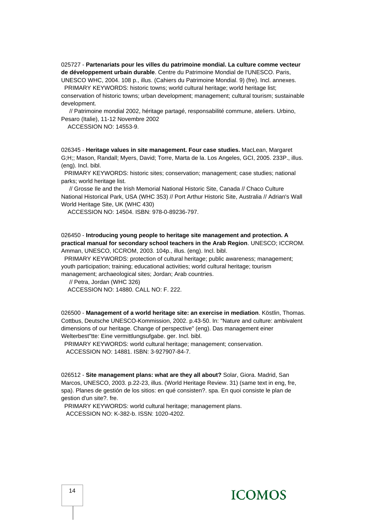025727 - **Partenariats pour les villes du patrimoine mondial. La culture comme vecteur de développement urbain durable**. Centre du Patrimoine Mondial de l'UNESCO. Paris, UNESCO WHC, 2004. 108 p., illus. (Cahiers du Patrimoine Mondial. 9) (fre). Incl. annexes.

 PRIMARY KEYWORDS: historic towns; world cultural heritage; world heritage list; conservation of historic towns; urban development; management; cultural tourism; sustainable development.

 // Patrimoine mondial 2002, héritage partagé, responsabilité commune, ateliers. Urbino, Pesaro (Italie), 11-12 Novembre 2002

ACCESSION NO: 14553-9.

026345 - **Heritage values in site management. Four case studies.** MacLean, Margaret G;H;; Mason, Randall; Myers, David; Torre, Marta de la. Los Angeles, GCI, 2005. 233P., illus. (eng). Incl. bibl.

 PRIMARY KEYWORDS: historic sites; conservation; management; case studies; national parks; world heritage list.

 // Grosse Ile and the Irish Memorial National Historic Site, Canada // Chaco Culture National Historical Park, USA (WHC 353) // Port Arthur Historic Site, Australia // Adrian's Wall World Heritage Site, UK (WHC 430)

ACCESSION NO: 14504. ISBN: 978-0-89236-797.

026450 - **Introducing young people to heritage site management and protection. A practical manual for secondary school teachers in the Arab Region**. UNESCO; ICCROM. Amman, UNESCO, ICCROM, 2003. 104p., illus. (eng). Incl. bibl.

 PRIMARY KEYWORDS: protection of cultural heritage; public awareness; management; youth participation; training; educational activities; world cultural heritage; tourism management; archaeological sites; Jordan; Arab countries.

// Petra, Jordan (WHC 326)

ACCESSION NO: 14880. CALL NO: F. 222.

026500 - **Management of a world heritage site: an exercise in mediation**. Köstlin, Thomas. Cottbus, Deutsche UNESCO-Kommission, 2002. p.43-50. In: "Nature and culture: ambivalent dimensions of our heritage. Change of perspective" (eng). Das management einer Welterbest"tte: Eine vermittlungsufgabe. ger. Incl. bibl.

 PRIMARY KEYWORDS: world cultural heritage; management; conservation. ACCESSION NO: 14881. ISBN: 3-927907-84-7.

026512 - **Site management plans: what are they all about?** Solar, Giora. Madrid, San Marcos, UNESCO, 2003. p.22-23, illus. (World Heritage Review. 31) (same text in eng, fre, spa). Planes de gestión de los sitios: en qué consisten?. spa. En quoi consiste le plan de gestion d'un site?. fre.

 PRIMARY KEYWORDS: world cultural heritage; management plans. ACCESSION NO: K-382-b. ISSN: 1020-4202.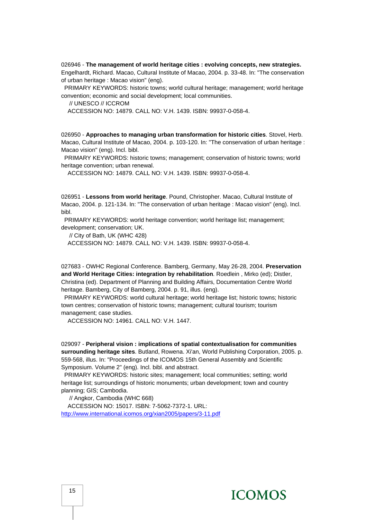026946 - **The management of world heritage cities : evolving concepts, new strategies.** Engelhardt, Richard. Macao, Cultural Institute of Macao, 2004. p. 33-48. In: "The conservation of urban heritage : Macao vision" (eng).

 PRIMARY KEYWORDS: historic towns; world cultural heritage; management; world heritage convention; economic and social development; local communities.

// UNESCO // ICCROM

ACCESSION NO: 14879. CALL NO: V.H. 1439. ISBN: 99937-0-058-4.

026950 - **Approaches to managing urban transformation for historic cities**. Stovel, Herb. Macao, Cultural Institute of Macao, 2004. p. 103-120. In: "The conservation of urban heritage : Macao vision" (eng). Incl. bibl.

 PRIMARY KEYWORDS: historic towns; management; conservation of historic towns; world heritage convention; urban renewal.

ACCESSION NO: 14879. CALL NO: V.H. 1439. ISBN: 99937-0-058-4.

026951 - **Lessons from world heritage**. Pound, Christopher. Macao, Cultural Institute of Macao, 2004. p. 121-134. In: "The conservation of urban heritage : Macao vision" (eng). Incl. bibl.

 PRIMARY KEYWORDS: world heritage convention; world heritage list; management; development; conservation; UK.

 // City of Bath, UK (WHC 428) ACCESSION NO: 14879. CALL NO: V.H. 1439. ISBN: 99937-0-058-4.

027683 - OWHC Regional Conference. Bamberg, Germany, May 26-28, 2004. **Preservation and World Heritage Cities: integration by rehabilitation**. Roedlein , Mirko (ed); Distler, Christina (ed). Department of Planning and Building Affairs, Documentation Centre World heritage. Bamberg, City of Bamberg, 2004. p. 91, illus. (eng).

 PRIMARY KEYWORDS: world cultural heritage; world heritage list; historic towns; historic town centres; conservation of historic towns; management; cultural tourism; tourism management; case studies.

ACCESSION NO: 14961. CALL NO: V.H. 1447.

029097 - **Peripheral vision : implications of spatial contextualisation for communities surrounding heritage sites**. Butland, Rowena. Xi'an, World Publishing Corporation, 2005. p. 559-568, illus. In: "Proceedings of the ICOMOS 15th General Assembly and Scientific Symposium. Volume 2" (eng). Incl. bibl. and abstract.

 PRIMARY KEYWORDS: historic sites; management; local communities; setting; world heritage list; surroundings of historic monuments; urban development; town and country planning; GIS; Cambodia.

// Angkor, Cambodia (WHC 668)

 ACCESSION NO: 15017. ISBN: 7-5062-7372-1. URL: <http://www.international.icomos.org/xian2005/papers/3-11.pdf>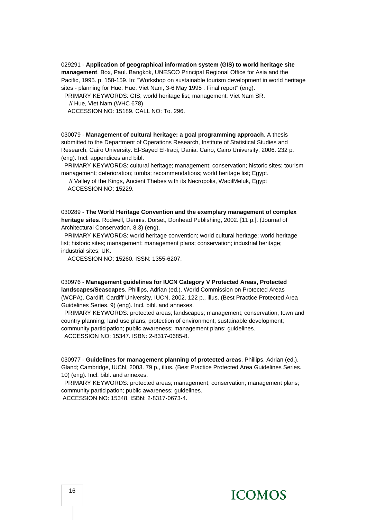029291 - **Application of geographical information system (GIS) to world heritage site management**. Box, Paul. Bangkok, UNESCO Principal Regional Office for Asia and the Pacific, 1995. p. 158-159. In: "Workshop on sustainable tourism development in world heritage sites - planning for Hue. Hue, Viet Nam, 3-6 May 1995 : Final report" (eng).

PRIMARY KEYWORDS: GIS; world heritage list; management; Viet Nam SR.

// Hue, Viet Nam (WHC 678)

ACCESSION NO: 15189. CALL NO: To. 296.

030079 - **Management of cultural heritage: a goal programming approach**. A thesis submitted to the Department of Operations Research, Institute of Statistical Studies and Research, Cairo University. El-Sayed El-Iraqi, Dania. Cairo, Cairo University, 2006. 232 p. (eng). Incl. appendices and bibl.

 PRIMARY KEYWORDS: cultural heritage; management; conservation; historic sites; tourism management; deterioration; tombs; recommendations; world heritage list; Egypt.

 // Valley of the Kings, Ancient Thebes with its Necropolis, WadilMeluk, Egypt ACCESSION NO: 15229.

030289 - **The World Heritage Convention and the exemplary management of complex heritage sites**. Rodwell, Dennis. Dorset, Donhead Publishing, 2002. [11 p.]. (Journal of Architectural Conservation. 8,3) (eng).

 PRIMARY KEYWORDS: world heritage convention; world cultural heritage; world heritage list; historic sites; management; management plans; conservation; industrial heritage; industrial sites; UK.

ACCESSION NO: 15260. ISSN: 1355-6207.

030976 - **Management guidelines for IUCN Category V Protected Areas, Protected landscapes/Seascapes**. Phillips, Adrian (ed.). World Commission on Protected Areas (WCPA). Cardiff, Cardiff University, IUCN, 2002. 122 p., illus. (Best Practice Protected Area Guidelines Series. 9) (eng). Incl. bibl. and annexes.

 PRIMARY KEYWORDS: protected areas; landscapes; management; conservation; town and country planning; land use plans; protection of environment; sustainable development; community participation; public awareness; management plans; guidelines.

ACCESSION NO: 15347. ISBN: 2-8317-0685-8.

030977 - **Guidelines for management planning of protected areas**. Phillips, Adrian (ed.). Gland; Cambridge, IUCN, 2003. 79 p., illus. (Best Practice Protected Area Guidelines Series. 10) (eng). Incl. bibl. and annexes.

 PRIMARY KEYWORDS: protected areas; management; conservation; management plans; community participation; public awareness; guidelines. ACCESSION NO: 15348. ISBN: 2-8317-0673-4.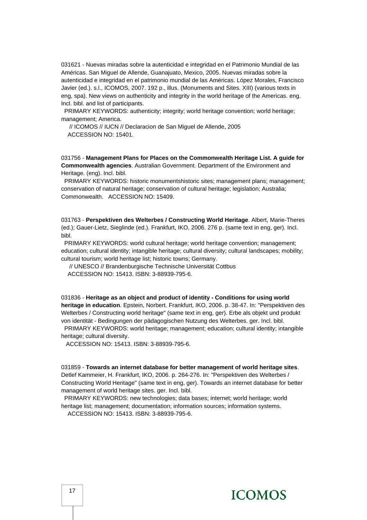031621 - Nuevas miradas sobre la autenticidad e integridad en el Patrimonio Mundial de las Américas. San Miguel de Allende, Guanajuato, Mexico, 2005. Nuevas miradas sobre la autenticidad e integridad en el patrimonio mundial de las Américas. López Morales, Francisco Javier (ed.). s.l., ICOMOS, 2007. 192 p., illus. (Monuments and Sites. XIII) (various texts in eng, spa). New views on authenticity and integrity in the world heritage of the Americas. eng. Incl. bibl. and list of participants.

 PRIMARY KEYWORDS: authenticity; integrity; world heritage convention; world heritage; management; America.

 // ICOMOS // IUCN // Declaracion de San Miguel de Allende, 2005 ACCESSION NO: 15401.

031756 - **Management Plans for Places on the Commonwealth Heritage List. A guide for Commonwealth agencies**. Australian Government. Department of the Environment and Heritage. (eng). Incl. bibl.

PRIMARY KEYWORDS: historic monumentshistoric sites; management plans; management; conservation of natural heritage; conservation of cultural heritage; legislation; Australia; Commonwealth. ACCESSION NO: 15409.

031763 - **Perspektiven des Welterbes / Constructing World Heritage**. Albert, Marie-Theres (ed.); Gauer-Lietz, Sieglinde (ed.). Frankfurt, IKO, 2006. 276 p. (same text in eng, ger). Incl. bibl.

PRIMARY KEYWORDS: world cultural heritage; world heritage convention; management; education; cultural identity; intangible heritage; cultural diversity; cultural landscapes; mobility; cultural tourism; world heritage list; historic towns; Germany.

 // UNESCO // Brandenburgische Technische Universität Cottbus ACCESSION NO: 15413. ISBN: 3-88939-795-6.

031836 - **Heritage as an object and product of identity - Conditions for using world heritage in education**. Epstein, Norbert. Frankfurt, IKO, 2006. p. 38-47. In: "Perspektiven des Welterbes / Constructing world heritage" (same text in eng, ger). Erbe als objekt und produkt von identität - Bedingungen der pädagogischen Nutzung des Welterbes. ger. Incl. bibl.

 PRIMARY KEYWORDS: world heritage; management; education; cultural identity; intangible heritage; cultural diversity.

ACCESSION NO: 15413. ISBN: 3-88939-795-6.

031859 - **Towards an internet database for better management of world heritage sites**. Detlef Kammeier, H. Frankfurt, IKO, 2006. p. 264-276. In: "Perspektiven des Welterbes / Constructing World Heritage" (same text in eng, ger). Towards an internet database for better management of world heritage sites. ger. Incl. bibl.

 PRIMARY KEYWORDS: new technologies; data bases; internet; world heritage; world heritage list; management; documentation; information sources; information systems.

ACCESSION NO: 15413. ISBN: 3-88939-795-6.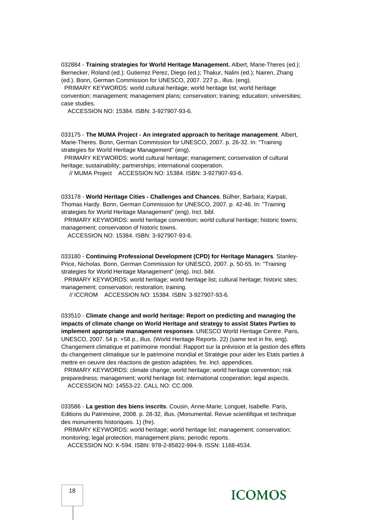032884 - **Training strategies for World Heritage Management.** Albert, Marie-Theres (ed.); Bernecker, Roland (ed.); Gutierrez Perez, Diego (ed.); Thakur, Nalini (ed.); Nairen, Zhang (ed.). Bonn, German Commission for UNESCO, 2007. 227 p., illus. (eng).

 PRIMARY KEYWORDS: world cultural heritage; world heritage list; world heritage convention; management; management plans; conservation; training; education; universities; case studies.

ACCESSION NO: 15384. ISBN: 3-927907-93-6.

033175 - **The MUMA Project - An integrated approach to heritage management**. Albert, Marie-Theres. Bonn, German Commission for UNESCO, 2007. p. 26-32. In: "Training strategies for World Heritage Management" (eng).

 PRIMARY KEYWORDS: world cultural heritage; management; conservation of cultural heritage; sustainability; partnerships; international cooperation.

// MUMA Project ACCESSION NO: 15384. ISBN: 3-927907-93-6.

033178 - **World Heritage Cities - Challenges and Chances**. Bülher, Barbara; Karpati, Thomas Hardy. Bonn, German Commission for UNESCO, 2007. p. 42-46. In: "Training strategies for World Heritage Management" (eng). Incl. bibl.

 PRIMARY KEYWORDS: world heritage convention; world cultural heritage; historic towns; management; conservation of historic towns.

ACCESSION NO: 15384. ISBN: 3-927907-93-6.

033180 - **Continuing Professional Development (CPD) for Heritage Managers**. Stanley-Price, Nicholas. Bonn, German Commission for UNESCO, 2007. p. 50-55. In: "Training strategies for World Heritage Management" (eng). Incl. bibl.

 PRIMARY KEYWORDS: world heritage; world heritage list; cultural heritage; historic sites; management; conservation; restoration; training.

// ICCROM ACCESSION NO: 15384. ISBN: 3-927907-93-6.

033510 - **Climate change and world heritage: Report on predicting and managing the impacts of climate change on World Heritage and strategy to assist States Parties to implement appropriate management responses**. UNESCO World Heritage Centre. Paris, UNESCO, 2007. 54 p. +58 p., illus. (World Heritage Reports. 22) (same text in fre, eng). Changement climatique et patrimoine mondial: Rapport sur la prévision et la gestion des effets du changement climatique sur le patrimoine mondial et Stratégie pour aider les Etats parties á mettre en oeuvre des réactions de gestion adaptées. fre. Incl. appendices.

 PRIMARY KEYWORDS: climate change; world heritage; world heritage convention; risk preparedness; management; world heritage list; international cooperation; legal aspects.

ACCESSION NO: 14553-22. CALL NO: CC.009.

033586 - **La gestion des biens inscrits**. Cousin, Anne-Marie; Longuet, Isabelle. Paris, Editions du Patrimoine, 2008. p. 28-32, illus. (Monumental. Revue scientifique et technique des monuments historiques. 1) (fre).

 PRIMARY KEYWORDS: world heritage; world heritage list; management; conservation; monitoring; legal protection; management plans; periodic reports.

ACCESSION NO: K-594. ISBN: 978-2-85822-994-9. ISSN: 1168-4534.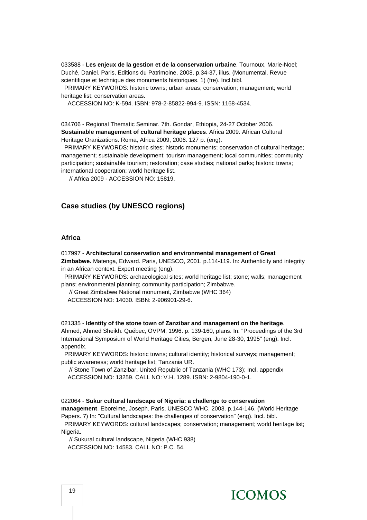033588 - **Les enjeux de la gestion et de la conservation urbaine**. Tournoux, Marie-Noel; Duché, Daniel. Paris, Editions du Patrimoine, 2008. p.34-37, illus. (Monumental. Revue scientifique et technique des monuments historiques. 1) (fre). Incl.bibl.

 PRIMARY KEYWORDS: historic towns; urban areas; conservation; management; world heritage list; conservation areas.

ACCESSION NO: K-594. ISBN: 978-2-85822-994-9. ISSN: 1168-4534.

034706 - Regional Thematic Seminar. 7th. Gondar, Ethiopia, 24-27 October 2006. **Sustainable management of cultural heritage places**. Africa 2009. African Cultural Heritage Oranizations. Roma, Africa 2009, 2006. 127 p. (eng).

 PRIMARY KEYWORDS: historic sites; historic monuments; conservation of cultural heritage; management; sustainable development; tourism management; local communities; community participation; sustainable tourism; restoration; case studies; national parks; historic towns; international cooperation; world heritage list.

// Africa 2009 - ACCESSION NO: 15819.

#### **Case studies (by UNESCO regions)**

#### **Africa**

017997 - **Architectural conservation and environmental management of Great Zimbabwe.** Matenga, Edward. Paris, UNESCO, 2001. p.114-119. In: Authenticity and integrity in an African context. Expert meeting (eng).

 PRIMARY KEYWORDS: archaeological sites; world heritage list; stone; walls; management plans; environmental planning; community participation; Zimbabwe.

// Great Zimbabwe National monument, Zimbabwe (WHC 364)

ACCESSION NO: 14030. ISBN: 2-906901-29-6.

021335 - **Identity of the stone town of Zanzibar and management on the heritage**. Ahmed, Ahmed Sheikh. Québec, OVPM, 1996. p. 139-160, plans. In: "Proceedings of the 3rd International Symposium of World Heritage Cities, Bergen, June 28-30, 1995" (eng). Incl. appendix.

 PRIMARY KEYWORDS: historic towns; cultural identity; historical surveys; management; public awareness; world heritage list; Tanzania UR.

 // Stone Town of Zanzibar, United Republic of Tanzania (WHC 173); Incl. appendix ACCESSION NO: 13259. CALL NO: V.H. 1289. ISBN: 2-9804-190-0-1.

#### 022064 - **Sukur cultural landscape of Nigeria: a challenge to conservation**

**management**. Eboreime, Joseph. Paris, UNESCO WHC, 2003. p.144-146. (World Heritage Papers. 7) In: "Cultural landscapes: the challenges of conservation" (eng). Incl. bibl.

 PRIMARY KEYWORDS: cultural landscapes; conservation; management; world heritage list; Nigeria.

 // Sukural cultural landscape, Nigeria (WHC 938) ACCESSION NO: 14583. CALL NO: P.C. 54.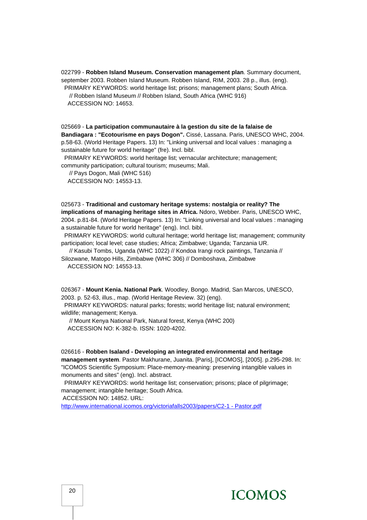022799 - **Robben Island Museum. Conservation management plan**. Summary document, september 2003. Robben Island Museum. Robben Island, RIM, 2003. 28 p., illus. (eng). PRIMARY KEYWORDS: world heritage list; prisons; management plans; South Africa. // Robben Island Museum // Robben Island, South Africa (WHC 916) ACCESSION NO: 14653.

025669 - **La participation communautaire à la gestion du site de la falaise de Bandiagara : "Ecotourisme en pays Dogon".** Cissé, Lassana. Paris, UNESCO WHC, 2004. p.58-63. (World Heritage Papers. 13) In: "Linking universal and local values : managing a sustainable future for world heritage" (fre). Incl. bibl.

 PRIMARY KEYWORDS: world heritage list; vernacular architecture; management; community participation; cultural tourism; museums; Mali.

 // Pays Dogon, Mali (WHC 516) ACCESSION NO: 14553-13.

025673 - **Traditional and customary heritage systems: nostalgia or reality? The implications of managing heritage sites in Africa.** Ndoro, Webber. Paris, UNESCO WHC, 2004. p.81-84. (World Heritage Papers. 13) In: "Linking universal and local values : managing a sustainable future for world heritage" (eng). Incl. bibl.

 PRIMARY KEYWORDS: world cultural heritage; world heritage list; management; community participation; local level; case studies; Africa; Zimbabwe; Uganda; Tanzania UR.

 // Kasubi Tombs, Uganda (WHC 1022) // Kondoa Irangi rock paintings, Tanzania // Silozwane, Matopo Hills, Zimbabwe (WHC 306) // Domboshava, Zimbabwe ACCESSION NO: 14553-13.

026367 - **Mount Kenia. National Park**. Woodley, Bongo. Madrid, San Marcos, UNESCO, 2003. p. 52-63, illus., map. (World Heritage Review. 32) (eng).

 PRIMARY KEYWORDS: natural parks; forests; world heritage list; natural environment; wildlife; management; Kenya.

 // Mount Kenya National Park, Natural forest, Kenya (WHC 200) ACCESSION NO: K-382-b. ISSN: 1020-4202.

026616 - **Robben Isaland - Developing an integrated environmental and heritage management system**. Pastor Makhurane, Juanita. [Paris], [ICOMOS], [2005]. p.295-298. In: "ICOMOS Scientific Symposium: Place-memory-meaning: preserving intangible values in monuments and sites" (eng). Incl. abstract.

 PRIMARY KEYWORDS: world heritage list; conservation; prisons; place of pilgrimage; management; intangible heritage; South Africa.

ACCESSION NO: 14852. URL:

[http://www.international.icomos.org/victoriafalls2003/papers/C2-1 - Pastor.pdf](http://www.international.icomos.org/victoriafalls2003/papers/C2-1%20-%20Pastor.pdf)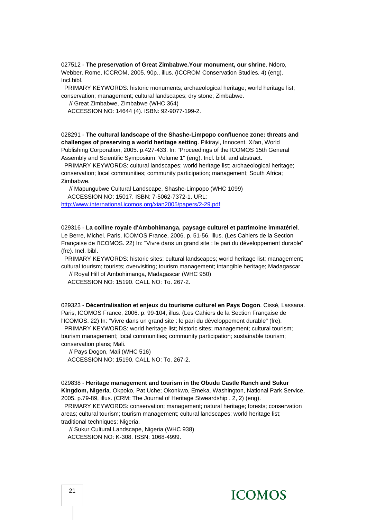027512 - **The preservation of Great Zimbabwe.Your monument, our shrine**. Ndoro, Webber. Rome, ICCROM, 2005. 90p., illus. (ICCROM Conservation Studies. 4) (eng). Incl.bibl.

 PRIMARY KEYWORDS: historic monuments; archaeological heritage; world heritage list; conservation; management; cultural landscapes; dry stone; Zimbabwe.

// Great Zimbabwe, Zimbabwe (WHC 364)

ACCESSION NO: 14644 (4). ISBN: 92-9077-199-2.

028291 - **The cultural landscape of the Shashe-Limpopo confluence zone: threats and challenges of preserving a world heritage setting**. Pikirayi, Innocent. Xi'an, World Publishing Corporation, 2005. p.427-433. In: "Proceedings of the ICOMOS 15th General Assembly and Scientific Symposium. Volume 1" (eng). Incl. bibl. and abstract.

 PRIMARY KEYWORDS: cultural landscapes; world heritage list; archaeological heritage; conservation; local communities; community participation; management; South Africa; Zimbabwe.

 // Mapungubwe Cultural Landscape, Shashe-Limpopo (WHC 1099) ACCESSION NO: 15017. ISBN: 7-5062-7372-1. URL:

<http://www.international.icomos.org/xian2005/papers/2-29.pdf>

029316 - **La colline royale d'Ambohimanga, paysage culturel et patrimoine immatériel**. Le Berre, Michel. Paris, ICOMOS France, 2006. p. 51-56, illus. (Les Cahiers de la Section Française de l'ICOMOS. 22) In: "Vivre dans un grand site : le pari du développement durable" (fre). Incl. bibl.

 PRIMARY KEYWORDS: historic sites; cultural landscapes; world heritage list; management; cultural tourism; tourists; overvisiting; tourism management; intangible heritage; Madagascar.

 // Royal Hill of Ambohimanga, Madagascar (WHC 950) ACCESSION NO: 15190. CALL NO: To. 267-2.

029323 - **Décentralisation et enjeux du tourisme culturel en Pays Dogon**. Cissé, Lassana. Paris, ICOMOS France, 2006. p. 99-104, illus. (Les Cahiers de la Section Française de l'ICOMOS. 22) In: "Vivre dans un grand site : le pari du développement durable" (fre).

 PRIMARY KEYWORDS: world heritage list; historic sites; management; cultural tourism; tourism management; local communities; community participation; sustainable tourism; conservation plans; Mali.

 // Pays Dogon, Mali (WHC 516) ACCESSION NO: 15190. CALL NO: To. 267-2.

029838 - **Heritage management and tourism in the Obudu Castle Ranch and Sukur Kingdom, Nigeria**. Okpoko, Pat Uche; Okonkwo, Emeka. Washington, National Park Service, 2005. p.79-89, illus. (CRM: The Journal of Heritage Stweardship . 2, 2) (eng).

 PRIMARY KEYWORDS: conservation; management; natural heritage; forests; conservation areas; cultural tourism; tourism management; cultural landscapes; world heritage list; traditional techniques; Nigeria.

 // Sukur Cultural Landscape, Nigeria (WHC 938) ACCESSION NO: K-308. ISSN: 1068-4999.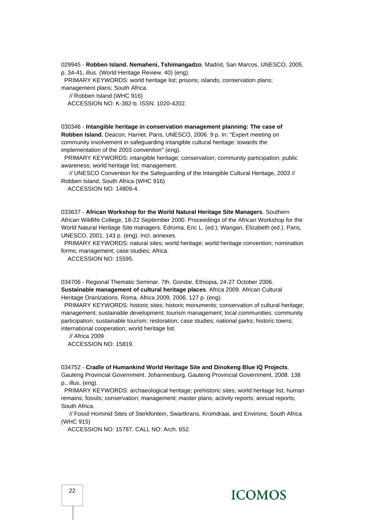#### 029945 - **Robben Island. Nemaheni, Tshimangadzo**. Madrid, San Marcos, UNESCO, 2005. p. 34-41, illus. (World Heritage Review. 40) (eng).

PRIMARY KEYWORDS: world heritage list; prisons; islands; conservation plans;

management plans; South Africa.

// Robben Island (WHC 916)

ACCESSION NO: K-382-b. ISSN: 1020-4202.

030346 - **Intangible heritage in conservation management planning: The case of Robben Island.** Deacon, Harriet. Paris, UNESCO, 2006. 9 p. In: "Expert meeting on community involvement in safeguarding intangible cultural heritage: towards the implementation of the 2003 convention" (eng).

 PRIMARY KEYWORDS: intangible heritage; conservation; community participation; public awareness; world heritage list; management.

 // UNESCO Convention for the Safeguarding of the Intangible Cultural Heritage, 2003 // Robben Island, South Africa (WHC 916)

ACCESSION NO: 14809-4.

033637 - **African Workshop for the World Natural Heritage Site Managers**. Southern African Wildlife College, 18-22 September 2000. Proceedings of the African Workshop for the World Natural Heritage Site managers. Edroma, Eric L. (ed.); Wangari, Elizabeth (ed.). Paris, UNESCO, 2001. 143 p. (eng). Incl. annexes.

 PRIMARY KEYWORDS: natural sites; world heritage; world heritage convention; nomination forms; management; case studies; Africa.

ACCESSION NO: 15595.

034706 - Regional Thematic Seminar. 7th. Gondar, Ethiopia, 24-27 October 2006. **Sustainable management of cultural heritage places**. Africa 2009. African Cultural Heritage Oranizations. Roma, Africa 2009, 2006. 127 p. (eng).

 PRIMARY KEYWORDS: historic sites; historic monuments; conservation of cultural heritage; management; sustainable development; tourism management; local communities; community participation; sustainable tourism; restoration; case studies; national parks; historic towns; international cooperation; world heritage list.

 // Africa 2009 ACCESSION NO: 15819.

034752 - **Cradle of Humankind World Heritage Site and Dinokeng Blue IQ Projects**. Gauteng Provincial Government. Johannesburg, Gauteng Provincial Government, 2008. 138 p., illus. (eng).

 PRIMARY KEYWORDS: archaeological heritage; prehistoric sites; world heritage list; human remains; fossils; conservation; management; master plans; activity reports; annual reports; South Africa.

 // Fossil Hominid Sites of Sterkfontein, Swartkrans, Kromdraai, and Environs, South Africa (WHC 915)

ACCESSION NO: 15787. CALL NO: Arch. 652.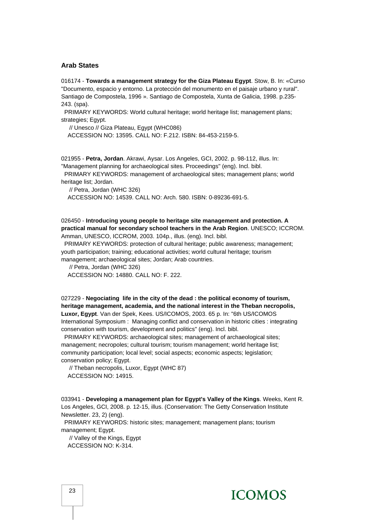#### **Arab States**

016174 - **Towards a management strategy for the Giza Plateau Egypt**. Stow, B. In: «Curso "Documento, espacio y entorno. La protección del monumento en el paisaje urbano y rural". Santiago de Compostela, 1996 ». Santiago de Compostela, Xunta de Galicia, 1998. p.235- 243. (spa).

 PRIMARY KEYWORDS: World cultural heritage; world heritage list; management plans; strategies: Egypt.

 // Unesco // Giza Plateau, Egypt (WHC086) ACCESSION NO: 13595. CALL NO: F.212. ISBN: 84-453-2159-5.

021955 - **Petra, Jordan**. Akrawi, Aysar. Los Angeles, GCI, 2002. p. 98-112, illus. In: "Management planning for archaeological sites. Proceedings" (eng). Incl. bibl.

 PRIMARY KEYWORDS: management of archaeological sites; management plans; world heritage list; Jordan.

// Petra, Jordan (WHC 326)

ACCESSION NO: 14539. CALL NO: Arch. 580. ISBN: 0-89236-691-5.

026450 - **Introducing young people to heritage site management and protection. A practical manual for secondary school teachers in the Arab Region**. UNESCO; ICCROM. Amman, UNESCO, ICCROM, 2003. 104p., illus. (eng). Incl. bibl.

 PRIMARY KEYWORDS: protection of cultural heritage; public awareness; management; youth participation; training; educational activities; world cultural heritage; tourism management; archaeological sites; Jordan; Arab countries.

// Petra, Jordan (WHC 326)

ACCESSION NO: 14880. CALL NO: F. 222.

027229 - **Negociating life in the city of the dead : the political economy of tourism, heritage management, academia, and the national interest in the Theban necropolis, Luxor, Egypt**. Van der Spek, Kees. US/ICOMOS, 2003. 65 p. In: "6th US/ICOMOS International Symposium : Managing conflict and conservation in historic cities : integrating conservation with tourism, development and politics" (eng). Incl. bibl.

 PRIMARY KEYWORDS: archaeological sites; management of archaeological sites; management; necropoles; cultural tourism; tourism management; world heritage list; community participation; local level; social aspects; economic aspects; legislation; conservation policy; Egypt.

 // Theban necropolis, Luxor, Egypt (WHC 87) ACCESSION NO: 14915.

033941 - **Developing a management plan for Egypt's Valley of the Kings**. Weeks, Kent R. Los Angeles, GCI, 2008. p. 12-15, illus. (Conservation: The Getty Conservation Institute Newsletter. 23, 2) (eng).

 PRIMARY KEYWORDS: historic sites; management; management plans; tourism management; Egypt.

 // Valley of the Kings, Egypt ACCESSION NO: K-314.

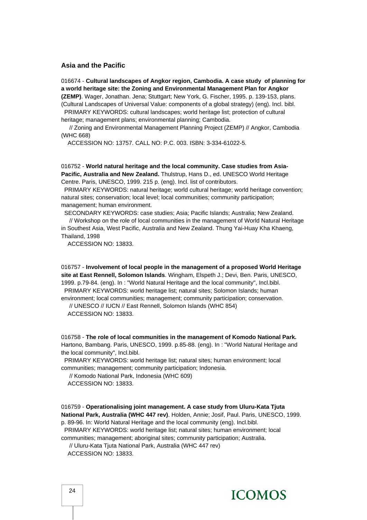#### **Asia and the Pacific**

016674 - **Cultural landscapes of Angkor region, Cambodia. A case study of planning for a world heritage site: the Zoning and Environmental Management Plan for Angkor** 

**(ZEMP)**. Wager, Jonathan. Jena; Stuttgart; New York, G. Fischer, 1995. p. 139-153, plans. (Cultural Landscapes of Universal Value: components of a global strategy) (eng). Incl. bibl. PRIMARY KEYWORDS: cultural landscapes; world heritage list; protection of cultural

heritage; management plans; environmental planning; Cambodia.

 // Zoning and Environmental Management Planning Project (ZEMP) // Angkor, Cambodia (WHC 668)

ACCESSION NO: 13757. CALL NO: P.C. 003. ISBN: 3-334-61022-5.

016752 - **World natural heritage and the local community. Case studies from Asia-Pacific, Australia and New Zealand.** Thulstrup, Hans D., ed. UNESCO World Heritage Centre. Paris, UNESCO, 1999. 215 p. (eng). Incl. list of contributors.

 PRIMARY KEYWORDS: natural heritage; world cultural heritage; world heritage convention; natural sites; conservation; local level; local communities; community participation; management; human environment.

SECONDARY KEYWORDS: case studies; Asia; Pacific Islands; Australia; New Zealand.

 // Workshop on the role of local communities in the management of World Natural Heritage in Southest Asia, West Pacific, Australia and New Zealand. Thung Yai-Huay Kha Khaeng, Thailand, 1998

ACCESSION NO: 13833.

016757 - **Involvement of local people in the management of a proposed World Heritage site at East Rennell, Solomon Islands**. Wingham, Elspeth J.; Devi, Ben. Paris, UNESCO, 1999. p.79-84. (eng). In : "World Natural Heritage and the local community", Incl.bibl. PRIMARY KEYWORDS: world heritage list; natural sites; Solomon Islands; human environment; local communities; management; community participation; conservation. // UNESCO // IUCN // East Rennell, Solomon Islands (WHC 854)

ACCESSION NO: 13833.

016758 - **The role of local communities in the management of Komodo National Park.** Hartono, Bambang. Paris, UNESCO, 1999. p.85-88. (eng). In : "World Natural Heritage and the local community", Incl.bibl.

 PRIMARY KEYWORDS: world heritage list; natural sites; human environment; local communities; management; community participation; Indonesia.

// Komodo National Park, Indonesia (WHC 609)

ACCESSION NO: 13833.

016759 - **Operationalising joint management. A case study from Uluru-Kata Tjuta National Park, Australia (WHC 447 rev)**. Holden, Annie; Josif, Paul. Paris, UNESCO, 1999. p. 89-96. In: World Natural Heritage and the local community (eng). Incl.bibl. PRIMARY KEYWORDS: world heritage list; natural sites; human environment; local communities; management; aboriginal sites; community participation; Australia. // Uluru-Kata Tjuta National Park, Australia (WHC 447 rev)

ACCESSION NO: 13833.

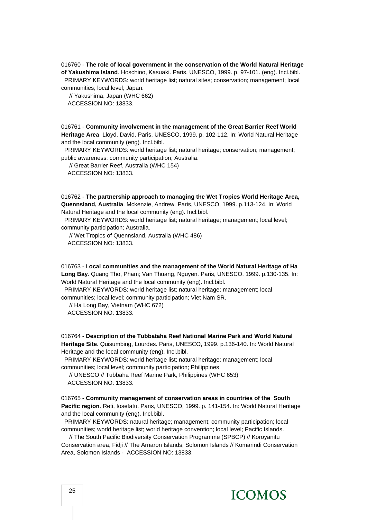016760 - **The role of local government in the conservation of the World Natural Heritage of Yakushima Island**. Hoschino, Kasuaki. Paris, UNESCO, 1999. p. 97-101. (eng). Incl.bibl. PRIMARY KEYWORDS: world heritage list; natural sites; conservation; management; local communities; local level; Japan.

 // Yakushima, Japan (WHC 662) ACCESSION NO: 13833.

016761 - **Community involvement in the management of the Great Barrier Reef World Heritage Area**. Lloyd, David. Paris, UNESCO, 1999. p. 102-112. In: World Natural Heritage and the local community (eng). Incl.bibl.

 PRIMARY KEYWORDS: world heritage list; natural heritage; conservation; management; public awareness; community participation; Australia.

 // Great Barrier Reef, Australia (WHC 154) ACCESSION NO: 13833.

016762 - **The partnership approach to managing the Wet Tropics World Heritage Area, Quennsland, Australia**. Mckenzie, Andrew. Paris, UNESCO, 1999. p.113-124. In: World Natural Heritage and the local community (eng). Incl.bibl.

 PRIMARY KEYWORDS: world heritage list; natural heritage; management; local level; community participation; Australia.

 // Wet Tropics of Quennsland, Australia (WHC 486) ACCESSION NO: 13833.

016763 - L**ocal communities and the management of the World Natural Heritage of Ha Long Bay**. Quang Tho, Pham; Van Thuang, Nguyen. Paris, UNESCO, 1999. p.130-135. In: World Natural Heritage and the local community (eng). Incl.bibl.

 PRIMARY KEYWORDS: world heritage list; natural heritage; management; local communities; local level; community participation; Viet Nam SR.

 // Ha Long Bay, Vietnam (WHC 672) ACCESSION NO: 13833.

016764 - **Description of the Tubbataha Reef National Marine Park and World Natural Heritage Site**. Quisumbing, Lourdes. Paris, UNESCO, 1999. p.136-140. In: World Natural Heritage and the local community (eng). Incl.bibl.

 PRIMARY KEYWORDS: world heritage list; natural heritage; management; local communities; local level; community participation; Philippines.

 // UNESCO // Tubbaha Reef Marine Park, Philippines (WHC 653) ACCESSION NO: 13833.

016765 - **Community management of conservation areas in countries of the South Pacific region**. Reti, Iosefatu. Paris, UNESCO, 1999. p. 141-154. In: World Natural Heritage and the local community (eng). Incl.bibl.

 PRIMARY KEYWORDS: natural heritage; management; community participation; local communities; world heritage list; world heritage convention; local level; Pacific Islands.

 // The South Pacific Biodiversity Conservation Programme (SPBCP) // Koroyanitu Conservation area, Fidji // The Arnaron Islands, Solomon Islands // Komarindi Conservation Area, Solomon Islands - ACCESSION NO: 13833.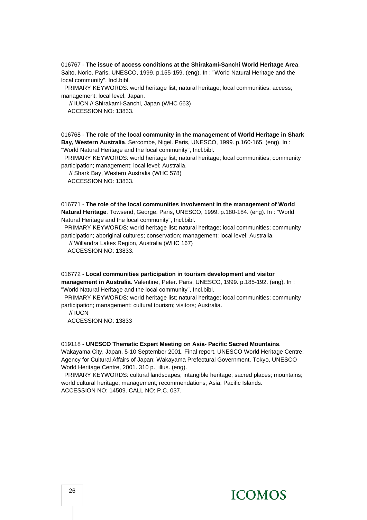016767 - **The issue of access conditions at the Shirakami-Sanchi World Heritage Area**. Saito, Norio. Paris, UNESCO, 1999. p.155-159. (eng). In : "World Natural Heritage and the local community", Incl.bibl.

 PRIMARY KEYWORDS: world heritage list; natural heritage; local communities; access; management; local level; Japan.

 // IUCN // Shirakami-Sanchi, Japan (WHC 663) ACCESSION NO: 13833.

016768 - **The role of the local community in the management of World Heritage in Shark Bay, Western Australia**. Sercombe, Nigel. Paris, UNESCO, 1999. p.160-165. (eng). In : "World Natural Heritage and the local community", Incl.bibl.

 PRIMARY KEYWORDS: world heritage list; natural heritage; local communities; community participation; management; local level; Australia.

 // Shark Bay, Western Australia (WHC 578) ACCESSION NO: 13833.

016771 - **The role of the local communities involvement in the management of World Natural Heritage**. Towsend, George. Paris, UNESCO, 1999. p.180-184. (eng). In : "World Natural Heritage and the local community", Incl.bibl.

 PRIMARY KEYWORDS: world heritage list; natural heritage; local communities; community participation; aboriginal cultures; conservation; management; local level; Australia.

// Willandra Lakes Region, Australia (WHC 167)

ACCESSION NO: 13833.

016772 - **Local communities participation in tourism development and visitor management in Australia**. Valentine, Peter. Paris, UNESCO, 1999. p.185-192. (eng). In : "World Natural Heritage and the local community", Incl.bibl.

 PRIMARY KEYWORDS: world heritage list; natural heritage; local communities; community participation; management; cultural tourism; visitors; Australia.

// IUCN

ACCESSION NO: 13833

#### 019118 - **UNESCO Thematic Expert Meeting on Asia- Pacific Sacred Mountains**.

Wakayama City, Japan, 5-10 September 2001. Final report. UNESCO World Heritage Centre; Agency for Cultural Affairs of Japan; Wakayama Prefectural Government. Tokyo, UNESCO World Heritage Centre, 2001. 310 p., illus. (eng).

 PRIMARY KEYWORDS: cultural landscapes; intangible heritage; sacred places; mountains; world cultural heritage; management; recommendations; Asia; Pacific Islands. ACCESSION NO: 14509. CALL NO: P.C. 037.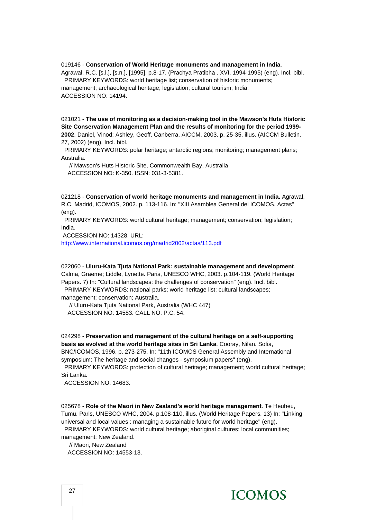019146 - C**onservation of World Heritage monuments and management in India**. Agrawal, R.C. [s.l.], [s.n.], [1995]. p.8-17. (Prachya Pratibha . XVI, 1994-1995) (eng). Incl. bibl. PRIMARY KEYWORDS: world heritage list; conservation of historic monuments; management; archaeological heritage; legislation; cultural tourism; India. ACCESSION NO: 14194.

021021 - **The use of monitoring as a decision-making tool in the Mawson's Huts Historic Site Conservation Management Plan and the results of monitoring for the period 1999- 2002**. Daniel, Vinod; Ashley, Geoff. Canberra, AICCM, 2003. p. 25-35, illus. (AICCM Bulletin. 27, 2002) (eng). Incl. bibl.

 PRIMARY KEYWORDS: polar heritage; antarctic regions; monitoring; management plans; Australia.

 // Mawson's Huts Historic Site, Commonwealth Bay, Australia ACCESSION NO: K-350. ISSN: 031-3-5381.

021218 - **Conservation of world heritage monuments and management in India.** Agrawal, R.C. Madrid, ICOMOS, 2002. p. 113-116. In: "XIII Asamblea General del ICOMOS. Actas" (eng).

 PRIMARY KEYWORDS: world cultural heritage; management; conservation; legislation; India.

ACCESSION NO: 14328. URL:

<http://www.international.icomos.org/madrid2002/actas/113.pdf>

022060 - **Uluru-Kata Tjuta National Park: sustainable management and development**. Calma, Graeme; Liddle, Lynette. Paris, UNESCO WHC, 2003. p.104-119. (World Heritage Papers. 7) In: "Cultural landscapes: the challenges of conservation" (eng). Incl. bibl. PRIMARY KEYWORDS: national parks; world heritage list; cultural landscapes; management; conservation; Australia.

 // Uluru-Kata Tjuta National Park, Australia (WHC 447) ACCESSION NO: 14583. CALL NO: P.C. 54.

024298 - **Preservation and management of the cultural heritage on a self-supporting basis as evolved at the world heritage sites in Sri Lanka**. Cooray, Nilan. Sofia, BNC/ICOMOS, 1996. p. 273-275. In: "11th ICOMOS General Assembly and International

symposium: The heritage and social changes - symposium papers" (eng). PRIMARY KEYWORDS: protection of cultural heritage; management; world cultural heritage; Sri Lanka.

ACCESSION NO: 14683.

025678 - **Role of the Maori in New Zealand's world heritage management**. Te Heuheu, Tumu. Paris, UNESCO WHC, 2004. p.108-110, illus. (World Heritage Papers. 13) In: "Linking universal and local values : managing a sustainable future for world heritage" (eng). PRIMARY KEYWORDS: world cultural heritage; aboriginal cultures; local communities; management; New Zealand.

 // Maori, New Zealand ACCESSION NO: 14553-13.

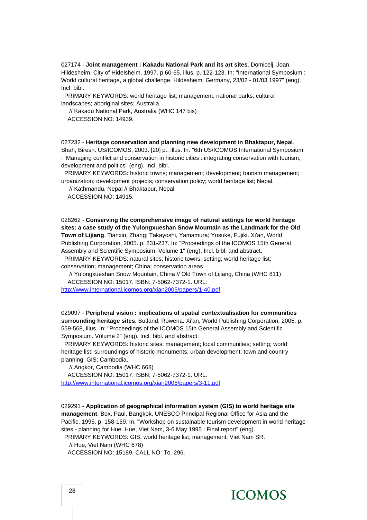027174 - **Joint management : Kakadu National Park and its art sites**. Domicelj, Joan. Hildesheim, City of Hidelsheim, 1997. p.60-65, illus. p. 122-123. In: "International Symposium : World cultural heritage, a global challenge. Hildesheim, Germany, 23/02 - 01/03 1997" (eng). Incl. bibl.

 PRIMARY KEYWORDS: world heritage list; management; national parks; cultural landscapes; aboriginal sites; Australia.

 // Kakadu National Park, Australia (WHC 147 bis) ACCESSION NO: 14939.

027232 - **Heritage conservation and planning new development in Bhaktapur, Nepal**. Shah, Biresh. US/ICOMOS, 2003. [20] p., illus. In: "6th US/ICOMOS International Symposium : Managing conflict and conservation in historic cities : integrating conservation with tourism, development and politics" (eng). Incl. bibl.

 PRIMARY KEYWORDS: historic towns; management; development; tourism management; urbanization; development projects; conservation policy; world heritage list; Nepal.

// Kathmandu, Nepal // Bhaktapur, Nepal

ACCESSION NO: 14915.

028262 - **Conserving the comprehensive image of natural settings for world heritage sites: a case study of the Yulongxueshan Snow Mountain as the Landmark for the Old Town of Lijiang**. Tianxin, Zhang; Takayoshi, Yamamura; Yosuke, Fujiki. Xi'an, World Publishing Corporation, 2005. p. 231-237. In: "Proceedings of the ICOMOS 15th General Assembly and Scientific Symposium. Volume 1" (eng). Incl. bibl. and abstract.

 PRIMARY KEYWORDS: natural sites; historic towns; setting; world heritage list; conservation; management; China; conservation areas.

 // Yulongxueshan Snow Mountain, China // Old Town of Lijiang, China (WHC 811) ACCESSION NO: 15017. ISBN: 7-5062-7372-1. URL:

<http://www.international.icomos.org/xian2005/papers/1-40.pdf>

029097 - **Peripheral vision : implications of spatial contextualisation for communities surrounding heritage sites**. Butland, Rowena. Xi'an, World Publishing Corporation, 2005. p. 559-568, illus. In: "Proceedings of the ICOMOS 15th General Assembly and Scientific Symposium. Volume 2" (eng). Incl. bibl. and abstract.

 PRIMARY KEYWORDS: historic sites; management; local communities; setting; world heritage list; surroundings of historic monuments; urban development; town and country planning; GIS; Cambodia.

// Angkor, Cambodia (WHC 668)

 ACCESSION NO: 15017. ISBN: 7-5062-7372-1. URL: <http://www.international.icomos.org/xian2005/papers/3-11.pdf>

029291 - **Application of geographical information system (GIS) to world heritage site management**. Box, Paul. Bangkok, UNESCO Principal Regional Office for Asia and the Pacific, 1995. p. 158-159. In: "Workshop on sustainable tourism development in world heritage sites - planning for Hue. Hue, Viet Nam, 3-6 May 1995 : Final report" (eng).

PRIMARY KEYWORDS: GIS; world heritage list; management; Viet Nam SR.

// Hue, Viet Nam (WHC 678)

ACCESSION NO: 15189. CALL NO: To. 296.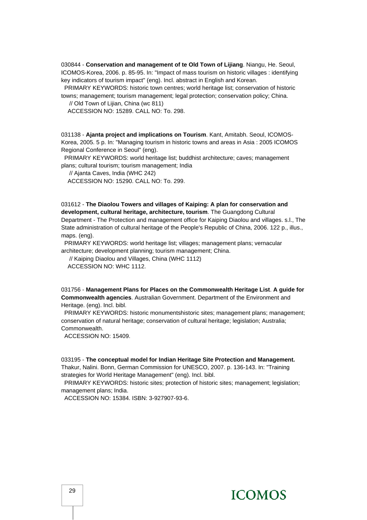030844 - **Conservation and management of te Old Town of Lijiang**. Niangu, He. Seoul, ICOMOS-Korea, 2006. p. 85-95. In: "Impact of mass tourism on historic villages : identifying key indicators of tourism impact" (eng). Incl. abstract in English and Korean.

 PRIMARY KEYWORDS: historic town centres; world heritage list; conservation of historic towns; management; tourism management; legal protection; conservation policy; China.

// Old Town of Lijian, China (wc 811)

ACCESSION NO: 15289. CALL NO: To. 298.

031138 - **Ajanta project and implications on Tourism**. Kant, Amitabh. Seoul, ICOMOS-Korea, 2005. 5 p. In: "Managing tourism in historic towns and areas in Asia : 2005 ICOMOS Regional Conference in Seoul" (eng).

 PRIMARY KEYWORDS: world heritage list; buddhist architecture; caves; management plans; cultural tourism; tourism management; India

// Ajanta Caves, India (WHC 242)

ACCESSION NO: 15290. CALL NO: To. 299.

031612 - **The Diaolou Towers and villages of Kaiping: A plan for conservation and development, cultural heritage, architecture, tourism**. The Guangdong Cultural Department - The Protection and management office for Kaiping Diaolou and villages. s.l., The

State administration of cultural heritage of the People's Republic of China, 2006. 122 p., illus., maps. (eng).

 PRIMARY KEYWORDS: world heritage list; villages; management plans; vernacular architecture; development planning; tourism management; China.

// Kaiping Diaolou and Villages, China (WHC 1112)

ACCESSION NO: WHC 1112.

031756 - **Management Plans for Places on the Commonwealth Heritage List**. **A guide for Commonwealth agencies**. Australian Government. Department of the Environment and Heritage. (eng). Incl. bibl.

PRIMARY KEYWORDS: historic monumentshistoric sites; management plans; management; conservation of natural heritage; conservation of cultural heritage; legislation; Australia; Commonwealth.

ACCESSION NO: 15409.

033195 - **The conceptual model for Indian Heritage Site Protection and Management.** Thakur, Nalini. Bonn, German Commission for UNESCO, 2007. p. 136-143. In: "Training strategies for World Heritage Management" (eng). Incl. bibl.

 PRIMARY KEYWORDS: historic sites; protection of historic sites; management; legislation; management plans; India.

ACCESSION NO: 15384. ISBN: 3-927907-93-6.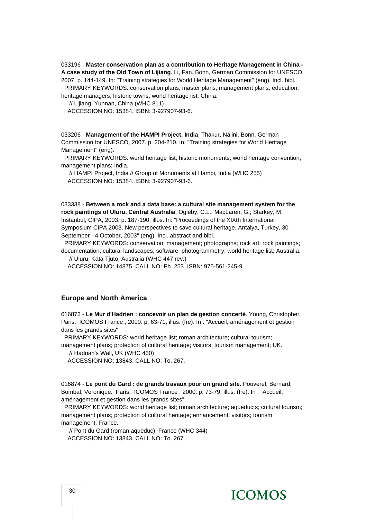033196 - **Master conservation plan as a contribution to Heritage Management in China - A case study of the Old Town of Lijiang**. Li, Fan. Bonn, German Commission for UNESCO, 2007. p. 144-149. In: "Training strategies for World Heritage Management" (eng). Incl. bibl. PRIMARY KEYWORDS: conservation plans; master plans; management plans; education; heritage managers; historic towns; world heritage list; China.

// Lijiang, Yunnan, China (WHC 811)

ACCESSION NO: 15384. ISBN: 3-927907-93-6.

033206 - **Management of the HAMPI Project, India**. Thakur, Nalini. Bonn, German Commission for UNESCO, 2007. p. 204-210. In: "Training strategies for World Heritage Management" (eng).

 PRIMARY KEYWORDS: world heritage list; historic monuments; world heritage convention; management plans; India.

 // HAMPI Project, India // Group of Monuments at Hampi, India (WHC 255) ACCESSION NO: 15384. ISBN: 3-927907-93-6.

033338 - **Between a rock and a data base: a cultural site management system for the rock paintings of Uluru, Central Australia**. Ogleby, C.L.; MacLaren, G.; Starkey, M. Instanbul, CIPA, 2003. p. 187-190, illus. In: "Proceedings of the XIXth International Symposium CIPA 2003. New perspectives to save cultural heritage, Antalya, Turkey, 30 September - 4 October, 2003" (eng). Incl. abstract and bibl.

 PRIMARY KEYWORDS: conservation; management; photographs; rock art; rock paintings; documentation; cultural landscapes; software; photogrammetry; world heritage list; Australia.

// Uluru, Kata Tjuto, Australia (WHC 447 rev.)

ACCESSION NO: 14875. CALL NO: Ph. 253. ISBN: 975-561-245-9.

#### **Europe and North America**

016873 - **Le Mur d'Hadrien : concevoir un plan de gestion concerté**. Young, Christopher. Paris, ICOMOS France , 2000. p. 63-71, illus. (fre). In : "Accueil, aménagement et gestion dans les grands sites".

PRIMARY KEYWORDS: world heritage list; roman architecture; cultural tourism;

management plans; protection of cultural heritage; visitors; tourism management; UK. // Hadrian's Wall, UK (WHC 430)

ACCESSION NO: 13843. CALL NO: To. 267.

016874 - **Le pont du Gard : de grands travaux pour un grand site**. Pouverel, Bernard; Bombal, Veronique. Paris, ICOMOS France , 2000. p. 73-79, illus. (fre). In : "Accueil, aménagement et gestion dans les grands sites".

 PRIMARY KEYWORDS: world heritage list; roman architecture; aqueducts; cultural tourism; management plans; protection of cultural heritage; enhancement; visitors; tourism management; France.

 // Pont du Gard (roman aqueduc), France (WHC 344) ACCESSION NO: 13843. CALL NO: To. 267.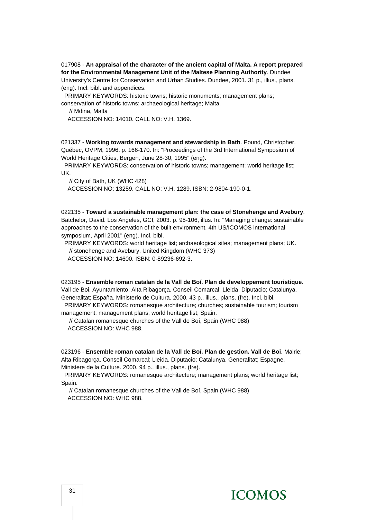#### 017908 - **An appraisal of the character of the ancient capital of Malta. A report prepared for the Environmental Management Unit of the Maltese Planning Authority**. Dundee

University's Centre for Conservation and Urban Studies. Dundee, 2001. 31 p., illus., plans. (eng). Incl. bibl. and appendices.

PRIMARY KEYWORDS: historic towns; historic monuments; management plans;

conservation of historic towns; archaeological heritage; Malta.

// Mdina, Malta

ACCESSION NO: 14010. CALL NO: V.H. 1369.

021337 - **Working towards management and stewardship in Bath**. Pound, Christopher. Québec, OVPM, 1996. p. 166-170. In: "Proceedings of the 3rd International Symposium of World Heritage Cities, Bergen, June 28-30, 1995" (eng).

 PRIMARY KEYWORDS: conservation of historic towns; management; world heritage list; UK.

// City of Bath, UK (WHC 428)

ACCESSION NO: 13259. CALL NO: V.H. 1289. ISBN: 2-9804-190-0-1.

022135 - **Toward a sustainable management plan: the case of Stonehenge and Avebury**. Batchelor, David. Los Angeles, GCI, 2003. p. 95-106, illus. In: "Managing change: sustainable approaches to the conservation of the built environment. 4th US/ICOMOS international symposium, April 2001" (eng). Incl. bibl.

 PRIMARY KEYWORDS: world heritage list; archaeological sites; management plans; UK. // stonehenge and Avebury, United Kingdom (WHC 373) ACCESSION NO: 14600. ISBN: 0-89236-692-3.

023195 - **Ensemble roman catalan de la Vall de Boí. Plan de developpement touristique**. Vall de Boi. Ayuntamiento; Alta Ribagorça. Conseil Comarcal; Lleida. Diputacio; Catalunya. Generalitat; España. Ministerio de Cultura. 2000. 43 p., illus., plans. (fre). Incl. bibl. PRIMARY KEYWORDS: romanesque architecture; churches; sustainable tourism; tourism management; management plans; world heritage list; Spain.

 // Catalan romanesque churches of the Vall de Boí, Spain (WHC 988) ACCESSION NO: WHC 988.

023196 - **Ensemble roman catalan de la Vall de Boí. Plan de gestion. Vall de Boi**. Mairie; Alta Ribagorça. Conseil Comarcal; Lleida. Diputacio; Catalunya. Generalitat; Espagne. Ministere de la Culture. 2000. 94 p., illus., plans. (fre).

 PRIMARY KEYWORDS: romanesque architecture; management plans; world heritage list; Spain.

 // Catalan romanesque churches of the Vall de Boí, Spain (WHC 988) ACCESSION NO: WHC 988.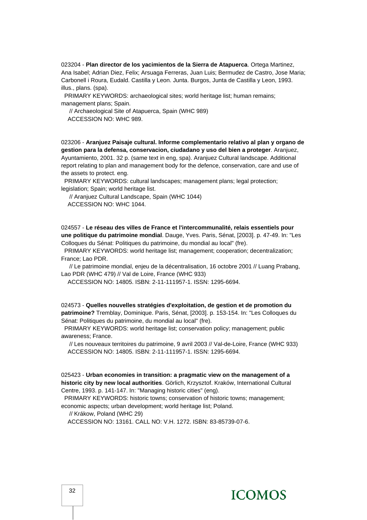023204 - **Plan director de los yacimientos de la Sierra de Atapuerca**. Ortega Martinez, Ana Isabel; Adrian Diez, Felix; Arsuaga Ferreras, Juan Luis; Bermudez de Castro, Jose Maria; Carbonell i Roura, Eudald. Castilla y Leon. Junta. Burgos, Junta de Castilla y Leon, 1993. illus., plans. (spa).

 PRIMARY KEYWORDS: archaeological sites; world heritage list; human remains; management plans; Spain.

 // Archaeological Site of Atapuerca, Spain (WHC 989) ACCESSION NO: WHC 989.

023206 - **Aranjuez Paisaje cultural. Informe complementario relativo al plan y organo de gestion para la defensa, conservacion, ciudadano y uso del bien a proteger**. Aranjuez, Ayuntamiento, 2001. 32 p. (same text in eng, spa). Aranjuez Cultural landscape. Additional report relating to plan and management body for the defence, conservation, care and use of the assets to protect. eng.

 PRIMARY KEYWORDS: cultural landscapes; management plans; legal protection; legislation; Spain; world heritage list.

 // Aranjuez Cultural Landscape, Spain (WHC 1044) ACCESSION NO: WHC 1044.

024557 - **Le réseau des villes de France et l'intercommunalité, relais essentiels pour une politique du patrimoine mondial**. Dauge, Yves. Paris, Sénat, [2003]. p. 47-49. In: "Les Colloques du Sénat: Politiques du patrimoine, du mondial au local" (fre).

 PRIMARY KEYWORDS: world heritage list; management; cooperation; decentralization; France; Lao PDR.

 // Le patrimoine mondial, enjeu de la décentralisation, 16 octobre 2001 // Luang Prabang, Lao PDR (WHC 479) // Val de Loire, France (WHC 933)

ACCESSION NO: 14805. ISBN: 2-11-111957-1. ISSN: 1295-6694.

024573 - **Quelles nouvelles stratégies d'exploitation, de gestion et de promotion du patrimoine?** Tremblay, Dominique. Paris, Sénat, [2003]. p. 153-154. In: "Les Colloques du Sénat: Politiques du patrimoine, du mondial au local" (fre).

 PRIMARY KEYWORDS: world heritage list; conservation policy; management; public awareness; France.

 // Les nouveaux territoires du patrimoine, 9 avril 2003 // Val-de-Loire, France (WHC 933) ACCESSION NO: 14805. ISBN: 2-11-111957-1. ISSN: 1295-6694.

025423 - **Urban economies in transition: a pragmatic view on the management of a historic city by new local authorities**. Görlich, Krzysztof. Kraków, International Cultural Centre, 1993. p. 141-147. In: "Managing historic cities" (eng).

 PRIMARY KEYWORDS: historic towns; conservation of historic towns; management; economic aspects; urban development; world heritage list; Poland.

// Krákow, Poland (WHC 29)

ACCESSION NO: 13161. CALL NO: V.H. 1272. ISBN: 83-85739-07-6.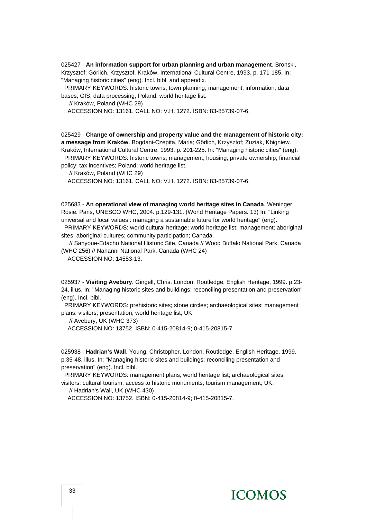025427 - **An information support for urban planning and urban management**. Bronski, Krzysztof; Görlich, Krzysztof. Kraków, International Cultural Centre, 1993. p. 171-185. In: "Managing historic cities" (eng). Incl. bibl. and appendix.

 PRIMARY KEYWORDS: historic towns; town planning; management; information; data bases; GIS; data processing; Poland; world heritage list.

// Kraków, Poland (WHC 29)

ACCESSION NO: 13161. CALL NO: V.H. 1272. ISBN: 83-85739-07-6.

025429 - **Change of ownership and property value and the management of historic city: a message from Kraków**. Bogdani-Czepita, Maria; Görlich, Krzysztof; Zuziak, Kbigniew. Kraków, International Cultural Centre, 1993. p. 201-225. In: "Managing historic cities" (eng). PRIMARY KEYWORDS: historic towns; management; housing; private ownership; financial policy; tax incentives; Poland; world heritage list.

// Kraków, Poland (WHC 29)

ACCESSION NO: 13161. CALL NO: V.H. 1272. ISBN: 83-85739-07-6.

025683 - **An operational view of managing world heritage sites in Canada**. Weninger, Rosie. Paris, UNESCO WHC, 2004. p.129-131. (World Heritage Papers. 13) In: "Linking universal and local values : managing a sustainable future for world heritage" (eng).

 PRIMARY KEYWORDS: world cultural heritage; world heritage list; management; aboriginal sites; aboriginal cultures; community participation; Canada.

 // Sahyoue-Edacho National Historic Site, Canada // Wood Buffalo National Park, Canada (WHC 256) // Nahanni National Park, Canada (WHC 24)

ACCESSION NO: 14553-13.

025937 - **Visiting Avebury**. Gingell, Chris. London, Routledge, English Heritage, 1999. p.23- 24, illus. In: "Managing historic sites and buildings: reconciling presentation and preservation" (eng). Incl. bibl.

 PRIMARY KEYWORDS: prehistoric sites; stone circles; archaeological sites; management plans; visitors; presentation; world heritage list; UK.

// Avebury, UK (WHC 373)

ACCESSION NO: 13752. ISBN: 0-415-20814-9; 0-415-20815-7.

025938 - **Hadrian's Wall**. Young, Christopher. London, Routledge, English Heritage, 1999. p.35-48, illus. In: "Managing historic sites and buildings: reconciling presentation and preservation" (eng). Incl. bibl.

 PRIMARY KEYWORDS: management plans; world heritage list; archaeological sites; visitors; cultural tourism; access to historic monuments; tourism management; UK.

// Hadrian's Wall, UK (WHC 430)

ACCESSION NO: 13752. ISBN: 0-415-20814-9; 0-415-20815-7.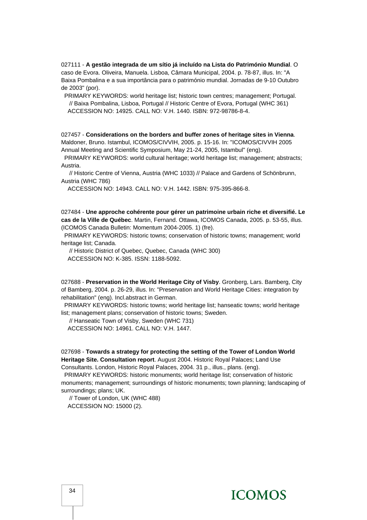027111 - **A gestão integrada de um sítio já incluído na Lista do Património Mundial**. O caso de Evora. Oliveira, Manuela. Lisboa, Câmara Municipal, 2004. p. 78-87, illus. In: "A Baixa Pombalina e a sua importância para o património mundial. Jornadas de 9-10 Outubro de 2003" (por).

 PRIMARY KEYWORDS: world heritage list; historic town centres; management; Portugal. // Baixa Pombalina, Lisboa, Portugal // Historic Centre of Evora, Portugal (WHC 361) ACCESSION NO: 14925. CALL NO: V.H. 1440. ISBN: 972-98786-8-4.

027457 - **Considerations on the borders and buffer zones of heritage sites in Vienna**. Maldoner, Bruno. Istambul, ICOMOS/CIVVIH, 2005. p. 15-16. In: "ICOMOS/CIVVIH 2005 Annual Meeting and Scientific Symposium, May 21-24, 2005, Istambul" (eng).

 PRIMARY KEYWORDS: world cultural heritage; world heritage list; management; abstracts; Austria.

 // Historic Centre of Vienna, Austria (WHC 1033) // Palace and Gardens of Schönbrunn, Austria (WHC 786)

ACCESSION NO: 14943. CALL NO: V.H. 1442. ISBN: 975-395-866-8.

027484 - **Une approche cohérente pour gérer un patrimoine urbain riche et diversifié. Le cas de la Ville de Québec**. Martin, Fernand. Ottawa, ICOMOS Canada, 2005. p. 53-55, illus. (ICOMOS Canada Bulletin: Momentum 2004-2005. 1) (fre).

 PRIMARY KEYWORDS: historic towns; conservation of historic towns; management; world heritage list; Canada.

// Historic District of Quebec, Quebec, Canada (WHC 300)

ACCESSION NO: K-385. ISSN: 1188-5092.

027688 - **Preservation in the World Heritage City of Visby**. Gronberg, Lars. Bamberg, City of Bamberg, 2004. p. 26-29, illus. In: "Preservation and World Heritage Cities: integration by rehabilitation" (eng). Incl.abstract in German.

 PRIMARY KEYWORDS: historic towns; world heritage list; hanseatic towns; world heritage list; management plans; conservation of historic towns; Sweden.

// Hanseatic Town of Visby, Sweden (WHC 731)

ACCESSION NO: 14961. CALL NO: V.H. 1447.

027698 - **Towards a strategy for protecting the setting of the Tower of London World Heritage Site. Consultation report**. August 2004. Historic Royal Palaces; Land Use Consultants. London, Historic Royal Palaces, 2004. 31 p., illus., plans. (eng).

 PRIMARY KEYWORDS: historic monuments; world heritage list; conservation of historic monuments; management; surroundings of historic monuments; town planning; landscaping of surroundings; plans; UK.

 // Tower of London, UK (WHC 488) ACCESSION NO: 15000 (2).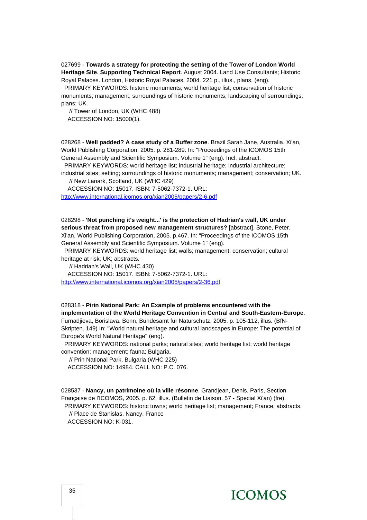027699 - **Towards a strategy for protecting the setting of the Tower of London World Heritage Site**. **Supporting Technical Report**. August 2004. Land Use Consultants; Historic Royal Palaces. London, Historic Royal Palaces, 2004. 221 p., illus., plans. (eng).

 PRIMARY KEYWORDS: historic monuments; world heritage list; conservation of historic monuments; management; surroundings of historic monuments; landscaping of surroundings; plans; UK.

 // Tower of London, UK (WHC 488) ACCESSION NO: 15000(1).

028268 - **Well padded? A case study of a Buffer zone**. Brazil Sarah Jane, Australia. Xi'an, World Publishing Corporation, 2005. p. 281-289. In: "Proceedings of the ICOMOS 15th General Assembly and Scientific Symposium. Volume 1" (eng). Incl. abstract.

 PRIMARY KEYWORDS: world heritage list; industrial heritage; industrial architecture; industrial sites; setting; surroundings of historic monuments; management; conservation; UK.

// New Lanark, Scotland, UK (WHC 429)

 ACCESSION NO: 15017. ISBN: 7-5062-7372-1. URL: <http://www.international.icomos.org/xian2005/papers/2-6.pdf>

028298 - **'Not punching it's weight...' is the protection of Hadrian's wall, UK under serious threat from proposed new management structures?** [abstract]. Stone, Peter. Xi'an, World Publishing Corporation, 2005. p.467. In: "Proceedings of the ICOMOS 15th

General Assembly and Scientific Symposium. Volume 1" (eng).

 PRIMARY KEYWORDS: world heritage list; walls; management; conservation; cultural heritage at risk; UK; abstracts.

// Hadrian's Wall, UK (WHC 430)

 ACCESSION NO: 15017. ISBN: 7-5062-7372-1. URL: <http://www.international.icomos.org/xian2005/papers/2-36.pdf>

028318 - **Pirin National Park: An Example of problems encountered with the implementation of the World Heritage Convention in Central and South-Eastern-Europe**. Furnadjieva, Borislava. Bonn, Bundesamt für Naturschutz, 2005. p. 105-112, illus. (BfN-Skripten. 149) In: "World natural heritage and cultural landscapes in Europe: The potential of Europe's World Natural Heritage" (eng).

 PRIMARY KEYWORDS: national parks; natural sites; world heritage list; world heritage convention; management; fauna; Bulgaria.

// Prin National Park, Bulgaria (WHC 225)

ACCESSION NO: 14984. CALL NO: P.C. 076.

028537 - **Nancy, un patrimoine où la ville résonne**. Grandjean, Denis. Paris, Section Française de l'ICOMOS, 2005. p. 62, illus. (Bulletin de Liaison. 57 - Special Xi'an) (fre). PRIMARY KEYWORDS: historic towns; world heritage list; management; France; abstracts. // Place de Stanislas, Nancy, France

ACCESSION NO: K-031.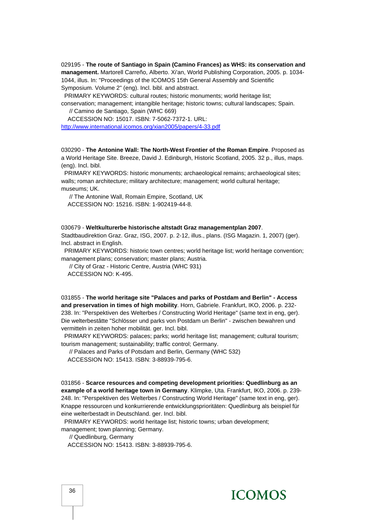029195 - **The route of Santiago in Spain (Camino Frances) as WHS: its conservation and management.** Martorell Carreño, Alberto. Xi'an, World Publishing Corporation, 2005. p. 1034- 1044, illus. In: "Proceedings of the ICOMOS 15th General Assembly and Scientific Symposium. Volume 2" (eng). Incl. bibl. and abstract.

PRIMARY KEYWORDS: cultural routes; historic monuments; world heritage list;

conservation; management; intangible heritage; historic towns; cultural landscapes; Spain. // Camino de Santiago, Spain (WHC 669)

ACCESSION NO: 15017. ISBN: 7-5062-7372-1. URL:

<http://www.international.icomos.org/xian2005/papers/4-33.pdf>

030290 - **The Antonine Wall: The North-West Frontier of the Roman Empire**. Proposed as a World Heritage Site. Breeze, David J. Edinburgh, Historic Scotland, 2005. 32 p., illus, maps. (eng). Incl. bibl.

 PRIMARY KEYWORDS: historic monuments; archaeological remains; archaeological sites; walls; roman architecture; military architecture; management; world cultural heritage; museums; UK.

 // The Antonine Wall, Romain Empire, Scotland, UK ACCESSION NO: 15216. ISBN: 1-902419-44-8.

#### 030679 - **Weltkulturerbe historische altstadt Graz managementplan 2007**.

Stadtbaudirektion Graz. Graz, ISG, 2007. p. 2-12, illus., plans. (ISG Magazin. 1, 2007) (ger). Incl. abstract in English.

 PRIMARY KEYWORDS: historic town centres; world heritage list; world heritage convention; management plans; conservation; master plans; Austria.

 // City of Graz - Historic Centre, Austria (WHC 931) ACCESSION NO: K-495.

031855 - **The world heritage site "Palaces and parks of Postdam and Berlin" - Access and preservation in times of high mobility**. Horn, Gabriele. Frankfurt, IKO, 2006. p. 232- 238. In: "Perspektiven des Welterbes / Constructing World Heritage" (same text in eng, ger). Die welterbestâtte "Schlösser und parks von Postdam un Berlin" - zwischen bewahren und vermitteln in zeiten hoher mobilität. ger. Incl. bibl.

 PRIMARY KEYWORDS: palaces; parks; world heritage list; management; cultural tourism; tourism management; sustainability; traffic control; Germany.

 // Palaces and Parks of Potsdam and Berlin, Germany (WHC 532) ACCESSION NO: 15413. ISBN: 3-88939-795-6.

031856 - **Scarce resources and competing development priorities: Quedlinburg as an example of a world heritage town in Germany**. Klimpke, Uta. Frankfurt, IKO, 2006. p. 239- 248. In: "Perspektiven des Welterbes / Constructing World Heritage" (same text in eng, ger). Knappe ressourcen und konkurrierende entwicklungsprioritäten: Quedlinburg als beispiel für eine welterbestadt in Deutschland. ger. Incl. bibl.

PRIMARY KEYWORDS: world heritage list; historic towns; urban development;

management; town planning; Germany.

// Quedlinburg, Germany

ACCESSION NO: 15413. ISBN: 3-88939-795-6.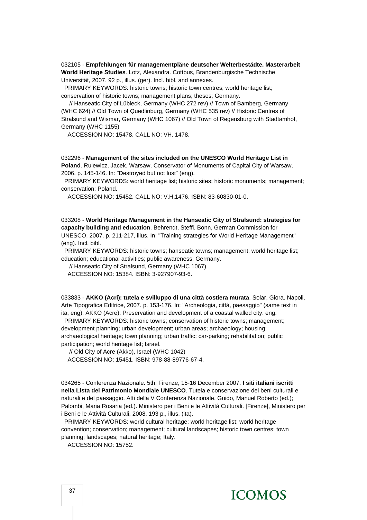032105 - **Empfehlungen für managementpläne deutscher Welterbestädte. Masterarbeit World Heritage Studies**. Lotz, Alexandra. Cottbus, Brandenburgische Technische Universität, 2007. 92 p., illus. (ger). Incl. bibl. and annexes.

 PRIMARY KEYWORDS: historic towns; historic town centres; world heritage list; conservation of historic towns; management plans; theses; Germany.

 // Hanseatic City of Lübleck, Germany (WHC 272 rev) // Town of Bamberg, Germany (WHC 624) // Old Town of Quedlinburg, Germany (WHC 535 rev) // Historic Centres of Stralsund and Wismar, Germany (WHC 1067) // Old Town of Regensburg with Stadtamhof, Germany (WHC 1155)

ACCESSION NO: 15478. CALL NO: VH. 1478.

032296 - **Management of the sites included on the UNESCO World Heritage List in Poland**. Rulewicz, Jacek. Warsaw, Conservator of Monuments of Capital City of Warsaw, 2006. p. 145-146. In: "Destroyed but not lost" (eng).

 PRIMARY KEYWORDS: world heritage list; historic sites; historic monuments; management; conservation; Poland.

ACCESSION NO: 15452. CALL NO: V.H.1476. ISBN: 83-60830-01-0.

033208 - **World Heritage Management in the Hanseatic City of Stralsund: strategies for capacity building and education**. Behrendt, Steffi. Bonn, German Commission for UNESCO, 2007. p. 211-217, illus. In: "Training strategies for World Heritage Management" (eng). Incl. bibl.

 PRIMARY KEYWORDS: historic towns; hanseatic towns; management; world heritage list; education; educational activities; public awareness; Germany.

 // Hanseatic City of Stralsund, Germany (WHC 1067) ACCESSION NO: 15384. ISBN: 3-927907-93-6.

033833 - **AKKO (Acri): tutela e svilluppo di una città costiera murata**. Solar, Giora. Napoli, Arte Tipografica Editrice, 2007. p. 153-176. In: "Archeologia, città, paesaggio" (same text in ita, eng). AKKO (Acre): Preservation and development of a coastal walled city. eng.

 PRIMARY KEYWORDS: historic towns; conservation of historic towns; management; development planning; urban development; urban areas; archaeology; housing; archaeological heritage; town planning; urban traffic; car-parking; rehabilitation; public participation; world heritage list; Israel.

 // Old City of Acre (Akko), Israel (WHC 1042) ACCESSION NO: 15451. ISBN: 978-88-89776-67-4.

034265 - Conferenza Nazionale. 5th. Firenze, 15-16 December 2007. **I siti italiani iscritti nella Lista del Patrimonio Mondiale UNESCO**. Tutela e conservazione dei beni culturali e naturali e del paesaggio. Atti della V Conferenza Nazionale. Guido, Manuel Roberto (ed.); Palombi, Maria Rosaria (ed.). Ministero per i Beni e le Attività Culturali. [Firenze], Ministero per i Beni e le Attività Culturali, 2008. 193 p., illus. (ita).

 PRIMARY KEYWORDS: world cultural heritage; world heritage list; world heritage convention; conservation; management; cultural landscapes; historic town centres; town planning; landscapes; natural heritage; Italy.

ACCESSION NO: 15752.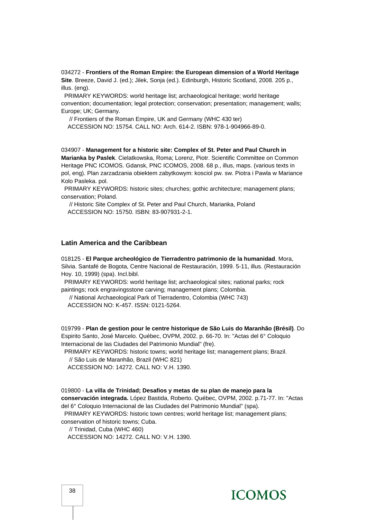034272 - **Frontiers of the Roman Empire: the European dimension of a World Heritage Site**. Breeze, David J. (ed.); Jilek, Sonja (ed.). Edinburgh, Historic Scotland, 2008. 205 p., illus. (eng).

 PRIMARY KEYWORDS: world heritage list; archaeological heritage; world heritage convention; documentation; legal protection; conservation; presentation; management; walls; Europe; UK; Germany.

// Frontiers of the Roman Empire, UK and Germany (WHC 430 ter)

ACCESSION NO: 15754. CALL NO: Arch. 614-2. ISBN: 978-1-904966-89-0.

034907 - **Management for a historic site: Complex of St. Peter and Paul Church in Marianka by Paslek**. Cielatkowska, Roma; Lorenz, Piotr. Scientific Committee on Common Heritage PNC ICOMOS. Gdansk, PNC ICOMOS, 2008. 68 p., illus, maps. (various texts in pol, eng). Plan zarzadzania obiektem zabytkowym: kosciol pw. sw. Piotra i Pawla w Mariance Kolo Pasleka. pol.

 PRIMARY KEYWORDS: historic sites; churches; gothic architecture; management plans; conservation; Poland.

 // Historic Site Complex of St. Peter and Paul Church, Marianka, Poland ACCESSION NO: 15750. ISBN: 83-907931-2-1.

#### **Latin America and the Caribbean**

018125 - **El Parque archeológico de Tierradentro patrimonio de la humanidad**. Mora, Silvia. Santafé de Bogota, Centre Nacional de Restauración, 1999. 5-11, illus. (Restauración Hoy. 10, 1999) (spa). Incl.bibl.

 PRIMARY KEYWORDS: world heritage list; archaeological sites; national parks; rock paintings; rock engravingsstone carving; management plans; Colombia.

 // National Archaeological Park of Tierradentro, Colombia (WHC 743) ACCESSION NO: K-457. ISSN: 0121-5264.

019799 - **Plan de gestion pour le centre historique de São Luis do Maranhão (Brésil)**. Do Espirito Santo, José Marcelo. Québec, OVPM, 2002. p. 66-70. In: "Actas del 6° Coloquio Internacional de las Ciudades del Patrimonio Mundial" (fre).

PRIMARY KEYWORDS: historic towns; world heritage list; management plans; Brazil.

// São Luis de Maranhão, Brazil (WHC 821)

ACCESSION NO: 14272. CALL NO: V.H. 1390.

019800 - **La villa de Trinidad; Desafios y metas de su plan de manejo para la** 

**conservación integrada.** López Bastida, Roberto. Québec, OVPM, 2002. p.71-77. In: "Actas del 6° Coloquio Internacional de las Ciudades del Patrimonio Mundial" (spa).

PRIMARY KEYWORDS: historic town centres; world heritage list; management plans;

conservation of historic towns; Cuba.

// Trinidad, Cuba (WHC 460)

ACCESSION NO: 14272. CALL NO: V.H. 1390.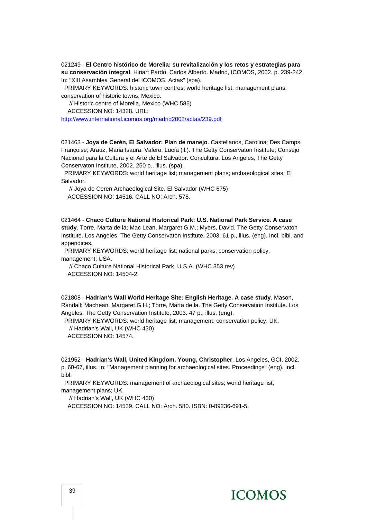021249 - **El Centro histórico de Morelia: su revitalización y los retos y estrategias para su conservación integral**. Hiriart Pardo, Carlos Alberto. Madrid, ICOMOS, 2002. p. 239-242. In: "XIII Asamblea General del ICOMOS. Actas" (spa).

 PRIMARY KEYWORDS: historic town centres; world heritage list; management plans; conservation of historic towns; Mexico.

// Historic centre of Morelia, Mexico (WHC 585)

ACCESSION NO: 14328. URL:

<http://www.international.icomos.org/madrid2002/actas/239.pdf>

021463 - **Joya de Cerén, El Salvador: Plan de manejo**. Castellanos, Carolina; Des Camps, Françoise; Arauz, Maria Isaura; Valero, Lucía (il.). The Getty Conservaton Institute; Consejo Nacional para la Cultura y el Arte de El Salvador. Concultura. Los Angeles, The Getty Conservaton Institute, 2002. 250 p., illus. (spa).

 PRIMARY KEYWORDS: world heritage list; management plans; archaeological sites; El Salvador.

 // Joya de Ceren Archaeological Site, El Salvador (WHC 675) ACCESSION NO: 14516. CALL NO: Arch. 578.

021464 - **Chaco Culture National Historical Park: U.S. National Park Service**. **A case study**. Torre, Marta de la; Mac Lean, Margaret G.M.; Myers, David. The Getty Conservaton Institute. Los Angeles, The Getty Conservaton Institute, 2003. 61 p., illus. (eng). Incl. bibl. and appendices.

 PRIMARY KEYWORDS: world heritage list; national parks; conservation policy; management; USA.

 // Chaco Culture National Historical Park, U.S.A. (WHC 353 rev) ACCESSION NO: 14504-2.

021808 - **Hadrian's Wall World Heritage Site: English Heritage. A case study**. Mason, Randall; Machean, Margaret G.H.; Torre, Marta de la. The Getty Conservation Institute. Los Angeles, The Getty Conservation Institute, 2003. 47 p., illus. (eng).

 PRIMARY KEYWORDS: world heritage list; management; conservation policy; UK. // Hadrian's Wall, UK (WHC 430) ACCESSION NO: 14574.

021952 - **Hadrian's Wall, United Kingdom. Young, Christopher**. Los Angeles, GCI, 2002. p. 60-67, illus. In: "Management planning for archaeological sites. Proceedings" (eng). Incl. bibl.

PRIMARY KEYWORDS: management of archaeological sites; world heritage list; management plans; UK.

// Hadrian's Wall, UK (WHC 430)

ACCESSION NO: 14539. CALL NO: Arch. 580. ISBN: 0-89236-691-5.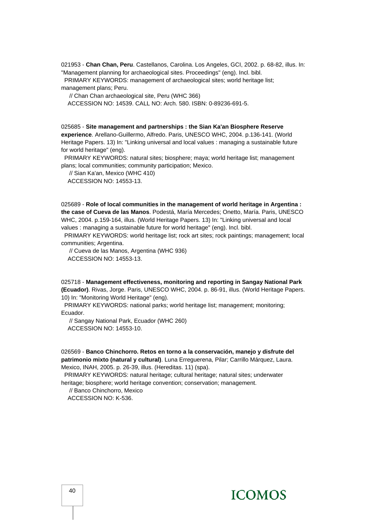021953 - **Chan Chan, Peru**. Castellanos, Carolina. Los Angeles, GCI, 2002. p. 68-82, illus. In: "Management planning for archaeological sites. Proceedings" (eng). Incl. bibl.

 PRIMARY KEYWORDS: management of archaeological sites; world heritage list; management plans; Peru.

// Chan Chan archaeological site, Peru (WHC 366)

ACCESSION NO: 14539. CALL NO: Arch. 580. ISBN: 0-89236-691-5.

025685 - **Site management and partnerships : the Sian Ka'an Biosphere Reserve experience**. Arellano-Guillermo, Alfredo. Paris, UNESCO WHC, 2004. p.136-141. (World Heritage Papers. 13) In: "Linking universal and local values : managing a sustainable future for world heritage" (eng).

 PRIMARY KEYWORDS: natural sites; biosphere; maya; world heritage list; management plans; local communities; community participation; Mexico.

 // Sian Ka'an, Mexico (WHC 410) ACCESSION NO: 14553-13.

025689 - **Role of local communities in the management of world heritage in Argentina : the case of Cueva de las Manos**. Podestá, María Mercedes; Onetto, María. Paris, UNESCO WHC, 2004. p.159-164, illus. (World Heritage Papers. 13) In: "Linking universal and local values : managing a sustainable future for world heritage" (eng). Incl. bibl.

 PRIMARY KEYWORDS: world heritage list; rock art sites; rock paintings; management; local communities; Argentina.

 // Cueva de las Manos, Argentina (WHC 936) ACCESSION NO: 14553-13.

025718 - **Management effectiveness, monitoring and reporting in Sangay National Park (Ecuador)**. Rivas, Jorge. Paris, UNESCO WHC, 2004. p. 86-91, illus. (World Heritage Papers. 10) In: "Monitoring World Heritage" (eng).

 PRIMARY KEYWORDS: national parks; world heritage list; management; monitoring; Ecuador.

 // Sangay National Park, Ecuador (WHC 260) ACCESSION NO: 14553-10.

026569 - **Banco Chinchorro. Retos en torno a la conservación, manejo y disfrute del patrimonio mixto (natural y cultural)**. Luna Erreguerena, Pilar; Carrillo Márquez, Laura. Mexico, INAH, 2005. p. 26-39, illus. (Hereditas. 11) (spa).

 PRIMARY KEYWORDS: natural heritage; cultural heritage; natural sites; underwater heritage; biosphere; world heritage convention; conservation; management.

 // Banco Chinchorro, Mexico ACCESSION NO: K-536.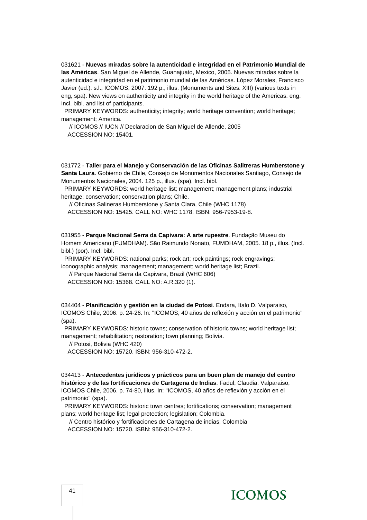031621 - **Nuevas miradas sobre la autenticidad e integridad en el Patrimonio Mundial de las Américas**. San Miguel de Allende, Guanajuato, Mexico, 2005. Nuevas miradas sobre la autenticidad e integridad en el patrimonio mundial de las Américas. López Morales, Francisco Javier (ed.). s.l., ICOMOS, 2007. 192 p., illus. (Monuments and Sites. XIII) (various texts in eng, spa). New views on authenticity and integrity in the world heritage of the Americas. eng. Incl. bibl. and list of participants.

 PRIMARY KEYWORDS: authenticity; integrity; world heritage convention; world heritage; management; America.

 // ICOMOS // IUCN // Declaracion de San Miguel de Allende, 2005 ACCESSION NO: 15401.

031772 - **Taller para el Manejo y Conservación de las Oficinas Salitreras Humberstone y Santa Laura**. Gobierno de Chile, Consejo de Monumentos Nacionales Santiago, Consejo de Monumentos Nacionales, 2004. 125 p., illus. (spa). Incl. bibl.

 PRIMARY KEYWORDS: world heritage list; management; management plans; industrial heritage; conservation; conservation plans; Chile.

// Oficinas Salineras Humberstone y Santa Clara, Chile (WHC 1178)

ACCESSION NO: 15425. CALL NO: WHC 1178. ISBN: 956-7953-19-8.

031955 - **Parque Nacional Serra da Capivara: A arte rupestre**. Fundação Museu do Homem Americano (FUMDHAM). São Raimundo Nonato, FUMDHAM, 2005. 18 p., illus. (Incl. bibl.) (por). Incl. bibl.

 PRIMARY KEYWORDS: national parks; rock art; rock paintings; rock engravings; iconographic analysis; management; management; world heritage list; Brazil.

 // Parque Nacional Serra da Capivara, Brazil (WHC 606) ACCESSION NO: 15368. CALL NO: A.R.320 (1).

034404 - **Planificación y gestión en la ciudad de Potosi**. Endara, Italo D. Valparaiso, ICOMOS Chile, 2006. p. 24-26. In: "ICOMOS, 40 años de reflexión y acción en el patrimonio" (spa).

 PRIMARY KEYWORDS: historic towns; conservation of historic towns; world heritage list; management; rehabilitation; restoration; town planning; Bolivia.

// Potosi, Bolivia (WHC 420)

ACCESSION NO: 15720. ISBN: 956-310-472-2.

034413 - **Antecedentes jurídicos y prácticos para un buen plan de manejo del centro histórico y de las fortificaciones de Cartagena de Indias**. Fadul, Claudia. Valparaiso, ICOMOS Chile, 2006. p. 74-80, illus. In: "ICOMOS, 40 años de reflexión y acción en el patrimonio" (spa).

 PRIMARY KEYWORDS: historic town centres; fortifications; conservation; management plans; world heritage list; legal protection; legislation; Colombia.

 // Centro histórico y fortificaciones de Cartagena de indias, Colombia ACCESSION NO: 15720. ISBN: 956-310-472-2.